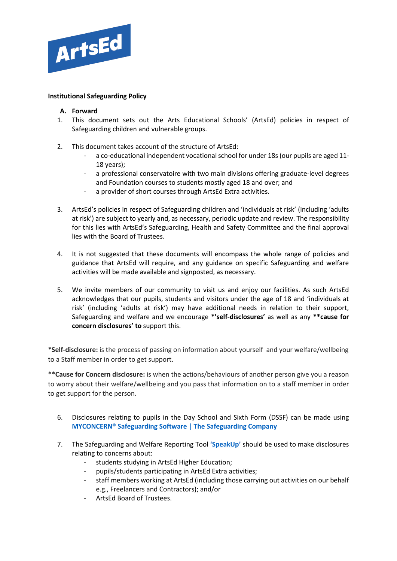

## **Institutional Safeguarding Policy**

#### **A. Forward**

- 1. This document sets out the Arts Educational Schools' (ArtsEd) policies in respect of Safeguarding children and vulnerable groups.
- 2. This document takes account of the structure of ArtsEd:
	- a co-educational independent vocational school for under 18s (our pupils are aged 11- 18 years);
	- a professional conservatoire with two main divisions offering graduate-level degrees and Foundation courses to students mostly aged 18 and over; and
	- a provider of short courses through ArtsEd Extra activities.
- 3. ArtsEd's policies in respect of Safeguarding children and 'individuals at risk' (including 'adults at risk') are subject to yearly and, as necessary, periodic update and review. The responsibility for this lies with ArtsEd's Safeguarding, Health and Safety Committee and the final approval lies with the Board of Trustees.
- 4. It is not suggested that these documents will encompass the whole range of policies and guidance that ArtsEd will require, and any guidance on specific Safeguarding and welfare activities will be made available and signposted, as necessary.
- 5. We invite members of our community to visit us and enjoy our facilities. As such ArtsEd acknowledges that our pupils, students and visitors under the age of 18 and 'individuals at risk' (including 'adults at risk') may have additional needs in relation to their support, Safeguarding and welfare and we encourage **\*'self-disclosures'** as well as any **\*\*cause for concern disclosures' to** support this.

\***Self-disclosure:** is the process of passing on information about yourself and your welfare/wellbeing to a Staff member in order to get support.

\*\***Cause for Concern disclosure:** is when the actions/behaviours of another person give you a reason to worry about their welfare/wellbeing and you pass that information on to a staff member in order to get support for the person.

- 6. Disclosures relating to pupils in the Day School and Sixth Form (DSSF) can be made using **[MYCONCERN® Safeguarding Software | The Safeguarding Company](https://www.thesafeguardingcompany.com/myconcern/)**
- 7. The Safeguarding and Welfare Reporting Tool **['SpeakUp'](https://artsed.qualtrics.com/jfe/form/SV_7OMFULwD1kl0dX8)** should be used to make disclosures relating to concerns about:
	- students studying in ArtsEd Higher Education;
	- pupils/students participating in ArtsEd Extra activities;
	- staff members working at ArtsEd (including those carrying out activities on our behalf e.g., Freelancers and Contractors); and/or
	- ArtsEd Board of Trustees.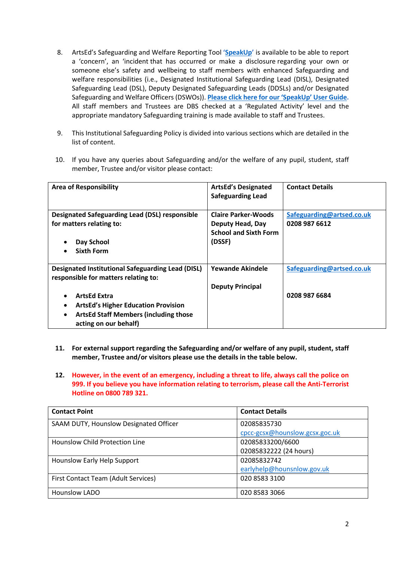- 8. ArtsEd's Safeguarding and Welfare Reporting Tool **['SpeakUp'](https://artsed.qualtrics.com/jfe/form/SV_7OMFULwD1kl0dX8)** is available to be able to report a 'concern', an 'incident that has occurred or make a disclosure regarding your own or someone else's safety and wellbeing to staff members with enhanced Safeguarding and welfare responsibilities (i.e., Designated Institutional Safeguarding Lead (DISL), Designated Safeguarding Lead (DSL), Deputy Designated Safeguarding Leads (DDSLs) and/or Designated Safeguarding and Welfare Officers (DSWOs)). **[Please click here for our](https://artsed003.blob.core.windows.net/policy/speakup-user-guide.pdf) 'SpeakUp' User Guide.**  All staff members and Trustees are DBS checked at a 'Regulated Activity' level and the appropriate mandatory Safeguarding training is made available to staff and Trustees.
- 9. This Institutional Safeguarding Policy is divided into various sections which are detailed in the list of content.
- 10. If you have any queries about Safeguarding and/or the welfare of any pupil, student, staff member, Trustee and/or visitor please contact:

| <b>Area of Responsibility</b>                                                                    | <b>ArtsEd's Designated</b><br><b>Safeguarding Lead</b> | <b>Contact Details</b>    |
|--------------------------------------------------------------------------------------------------|--------------------------------------------------------|---------------------------|
| <b>Designated Safeguarding Lead (DSL) responsible</b>                                            | <b>Claire Parker-Woods</b>                             | Safeguarding@artsed.co.uk |
| for matters relating to:                                                                         | Deputy Head, Day<br><b>School and Sixth Form</b>       | 0208 987 6612             |
| Day School                                                                                       | (DSSF)                                                 |                           |
| Sixth Form                                                                                       |                                                        |                           |
| <b>Designated Institutional Safeguarding Lead (DISL)</b><br>responsible for matters relating to: | <b>Yewande Akindele</b>                                | Safeguarding@artsed.co.uk |
|                                                                                                  | <b>Deputy Principal</b>                                |                           |
| <b>ArtsEd Extra</b>                                                                              |                                                        | 0208 987 6684             |
| <b>ArtsEd's Higher Education Provision</b>                                                       |                                                        |                           |
| <b>ArtsEd Staff Members (including those</b><br>acting on our behalf)                            |                                                        |                           |

- **11. For external support regarding the Safeguarding and/or welfare of any pupil, student, staff member, Trustee and/or visitors please use the details in the table below.**
- **12. However, in the event of an emergency, including a threat to life, always call the police on 999. If you believe you have information relating to terrorism, please call the Anti-Terrorist Hotline on 0800 789 321.**

| <b>Contact Point</b>                   | <b>Contact Details</b>         |
|----------------------------------------|--------------------------------|
| SAAM DUTY, Hounslow Designated Officer | 02085835730                    |
|                                        | cpcc-gcsx@hounslow.gcsx.goc.uk |
| <b>Hounslow Child Protection Line</b>  | 02085833200/6600               |
|                                        | 02085832222 (24 hours)         |
| Hounslow Early Help Support            | 02085832742                    |
|                                        | earlyhelp@hounsnlow.gov.uk     |
| First Contact Team (Adult Services)    | 020 8583 3100                  |
| <b>Hounslow LADO</b>                   | 020 8583 3066                  |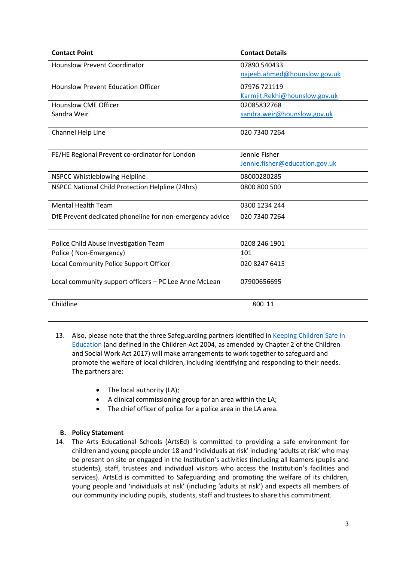| <b>Contact Point</b>                                            | <b>Contact Details</b>         |
|-----------------------------------------------------------------|--------------------------------|
| <b>Hounslow Prevent Coordinator</b>                             | 07890 540433                   |
|                                                                 | najeeb.ahmed@hounslow.gov.uk   |
| <b>Hounslow Prevent Education Officer</b>                       | 07976 721119                   |
|                                                                 | Karmjit.Rekhi@hounslow.gov.uk  |
| <b>Hounslow CME Officer</b>                                     | 02085832768                    |
| Sandra Weir                                                     | sandra.weir@hounslow.gov.uk    |
|                                                                 |                                |
| Channel Help Line                                               | 020 7340 7264                  |
|                                                                 |                                |
| FE/HE Regional Prevent co-ordinator for London                  | Jennie Fisher                  |
|                                                                 | Jennie.fisher@education.gov.uk |
| NSPCC Whistleblowing Helpline                                   | 08000280285                    |
| NSPCC National Child Protection Helpline (24hrs)                | 0800 800 500                   |
|                                                                 |                                |
| <b>Mental Health Team</b>                                       | 0300 1234 244                  |
| DfE Prevent dedicated phoneline for non-emergency advice        | 020 7340 7264                  |
|                                                                 |                                |
|                                                                 | 0208 246 1901                  |
| Police Child Abuse Investigation Team<br>Police (Non-Emergency) | 101                            |
| Local Community Police Support Officer                          | 020 8247 6415                  |
|                                                                 |                                |
| Local community support officers - PC Lee Anne McLean           | 07900656695                    |
|                                                                 |                                |
| Childline                                                       | 800 11                         |
|                                                                 |                                |

- 13. Also, please note that the three Safeguarding partners identified in Keeping Children Safe in [Education](https://www.gov.uk/government/publications/keeping-children-safe-in-education--2) (and defined in the Children Act 2004, as amended by Chapter 2 of the Children and Social Work Act 2017) will make arrangements to work together to safeguard and promote the welfare of local children, including identifying and responding to their needs. The partners are:
	- The local authority (LA);
	- A clinical commissioning group for an area within the LA;
	- The chief officer of police for a police area in the LA area.

## **B. Policy Statement**

14. The Arts Educational Schools (ArtsEd) is committed to providing a safe environment for children and young people under 18 and 'individuals at risk' including 'adults at risk' who may be present on site or engaged in the Institution's activities (including all learners (pupils and students), staff, trustees and individual visitors who access the Institution's facilities and services). ArtsEd is committed to Safeguarding and promoting the welfare of its children, young people and 'individuals at risk' (including 'adults at risk') and expects all members of our community including pupils, students, staff and trustees to share this commitment.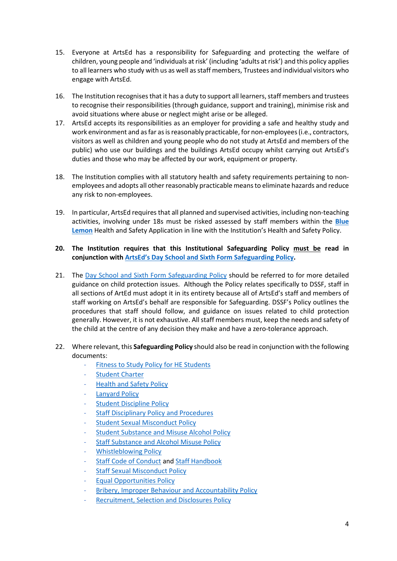- 15. Everyone at ArtsEd has a responsibility for Safeguarding and protecting the welfare of children, young people and 'individuals at risk' (including 'adults at risk') and this policy applies to all learners who study with us as well as staff members, Trustees and individual visitors who engage with ArtsEd.
- 16. The Institution recognises that it has a duty to support all learners, staff members and trustees to recognise their responsibilities (through guidance, support and training), minimise risk and avoid situations where abuse or neglect might arise or be alleged.
- 17. ArtsEd accepts its responsibilities as an employer for providing a safe and healthy study and work environment and as far as is reasonably practicable, for non-employees (i.e., contractors, visitors as well as children and young people who do not study at ArtsEd and members of the public) who use our buildings and the buildings ArtsEd occupy whilst carrying out ArtsEd's duties and those who may be affected by our work, equipment or property.
- 18. The Institution complies with all statutory health and safety requirements pertaining to nonemployees and adopts all other reasonably practicable means to eliminate hazards and reduce any risk to non-employees.
- 19. In particular, ArtsEd requires that all planned and supervised activities, including non-teaching activities, involving under 18s must be risked assessed by staff members within the **[Blue](https://artseducation.blhealthandsafety.co.uk/pages/risk-overview)  [Lemon](https://artseducation.blhealthandsafety.co.uk/pages/risk-overview)** Health and Safety Application in line with the Institution's Health and Safety Policy.
- **20. The Institution requires that this Institutional Safeguarding Policy must be read in conjunction wit[h ArtsEd's Day School and Sixth Form Safeguarding Policy.](https://artsed.sharepoint.com/:w:/g/orgfileshare/EQP1CKF-Z6JMjiG7_u6srwIBhVuoGqvaz64mVdyXq-_suA?e=1CI1GN)**
- 21. The Day School [and Sixth Form Safeguarding](https://artsed.sharepoint.com/:w:/g/orgfileshare/EQP1CKF-Z6JMjiG7_u6srwIBhVuoGqvaz64mVdyXq-_suA?e=1CI1GN) Policy should be referred to for more detailed guidance on child protection issues. Although the Policy relates specifically to DSSF, staff in all sections of ArtEd must adopt it in its entirety because all of ArtsEd's staff and members of staff working on ArtsEd's behalf are responsible for Safeguarding. DSSF's Policy outlines the procedures that staff should follow, and guidance on issues related to child protection generally. However, it is not exhaustive. All staff members must, keep the needs and safety of the child at the centre of any decision they make and have a zero-tolerance approach.
- 22. Where relevant, this **Safeguarding Policy** should also be read in conjunction with the following documents:
	- [Fitness to Study Policy](https://artsed003.blob.core.windows.net/policy/fitness-to-study-policy.pdf) for HE Students
	- **[Student Charter](https://artsed003.blob.core.windows.net/policy/student-charter.pdf)**
	- **[Health and Safety Policy](https://artsed003.blob.core.windows.net/policy/health-and-safety-policy.pdf)**
	- [Lanyard Policy](https://artsed003.blob.core.windows.net/policy/lanyard-policy.pdf)
	- **[Student Discipline](https://artsed003.blob.core.windows.net/policy/student-discipline-policy.pdf) Policy**
	- **[Staff Disciplinary Policy](https://artsed003.blob.core.windows.net/policy/staff-disciplinary-policy-and-procedure.pdf) and Procedures**
	- **[Student Sexual Misconduct Policy](https://artsed003.blob.core.windows.net/policy/student-sexual-misconduct-policy.pdf)**
	- **[Student Substance and](https://artsed003.blob.core.windows.net/policy/student-substance-and-alcohol-misuse-policy.pdf) Misuse Alcohol Policy**
	- [Staff Substance and Alcohol](https://artsed003.blob.core.windows.net/policy/staff-substance-and-alcohol-misuse-policy.pdf) Misuse Policy
	- [Whistleblowing Policy](https://artsed003.blob.core.windows.net/policy/whistleblowing-policy-and-procedure.pdf)
	- [Staff Code of Conduct](https://artsed003.blob.core.windows.net/policy/staff-code-of-conduct.pdf) and [Staff Handbook](https://artsed003.blob.core.windows.net/policy/staff-handbook.pdf)
	- **[Staff Sexual Misconduct Policy](https://artsed003.blob.core.windows.net/policy/staff-sexual-misconduct-policy.pdf)**
	- [Equal Opportunities Policy](https://artsed003.blob.core.windows.net/policy/equal-opportunities-policy.pdf)
	- [Bribery, Improper Behaviour and Accountability Policy](https://artsed003.blob.core.windows.net/policy/bribery-improper-behaviour-and-accountability-policy.pdf)
	- [Recruitment, Selection and Disclosures Policy](https://artsed003.blob.core.windows.net/policy/recruitment-selection-and-disclosures-policy.pdf)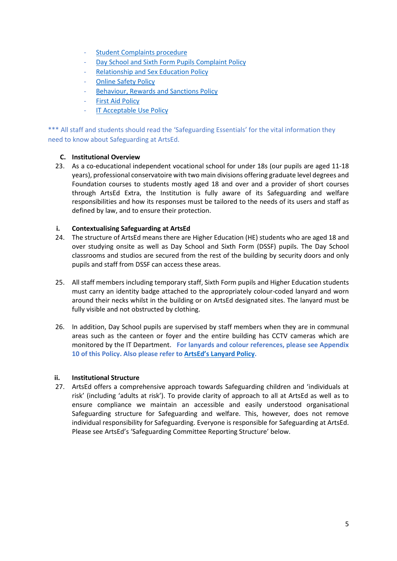- [Student Complaints](https://artsed003.blob.core.windows.net/policy/student-complaint-procedure.pdf) procedure
- [Day School and Sixth Form Pupils Complaint Policy](https://artsed.sharepoint.com/:w:/g/orgfileshare/EUOO9yPEDpxHlEu5lJNpOBkB3un-Fmmvot-e8aiwZ8i-yw?e=qXBx28)
- [Relationship and Sex Education Policy](https://artsed003.blob.core.windows.net/policy/relationship-and-sex-education-policy.pdf)
- **[Online Safety Policy](https://artsed003.blob.core.windows.net/policy/online-safety-policy.pdf)**
- [Behaviour, Rewards and Sanctions Policy](https://artsed003.blob.core.windows.net/policy/sixth-form-behaviour-rewards-and-sanctions-policy.pdf)
- **[First Aid Policy](https://artsed003.blob.core.windows.net/policy/first-aid-policy.pdf)**
- **[IT Acceptable Use Policy](https://artsed003.blob.core.windows.net/policy/it-acceptable-use-policy.pdf)**

\*\*\* All staff and students should read the 'Safeguarding Essentials' for the vital information they need to know about Safeguarding at ArtsEd.

## **C. Institutional Overview**

23. As a co-educational independent vocational school for under 18s (our pupils are aged 11-18 years), professional conservatoire with two main divisions offering graduate level degrees and Foundation courses to students mostly aged 18 and over and a provider of short courses through ArtsEd Extra, the Institution is fully aware of its Safeguarding and welfare responsibilities and how its responses must be tailored to the needs of its users and staff as defined by law, and to ensure their protection.

## **i. Contextualising Safeguarding at ArtsEd**

- 24. The structure of ArtsEd means there are Higher Education (HE) students who are aged 18 and over studying onsite as well as Day School and Sixth Form (DSSF) pupils. The Day School classrooms and studios are secured from the rest of the building by security doors and only pupils and staff from DSSF can access these areas.
- 25. All staff members including temporary staff, Sixth Form pupils and Higher Education students must carry an identity badge attached to the appropriately colour-coded lanyard and worn around their necks whilst in the building or on ArtsEd designated sites. The lanyard must be fully visible and not obstructed by clothing.
- 26. In addition, Day School pupils are supervised by staff members when they are in communal areas such as the canteen or foyer and the entire building has CCTV cameras which are monitored by the IT Department. **For lanyards and colour references, please see Appendix 10 of this Policy. Also please refer to [ArtsEd's Lanyard Policy.](https://artsed003.blob.core.windows.net/policy/lanyard-policy.pdf)**

#### **ii. Institutional Structure**

27. ArtsEd offers a comprehensive approach towards Safeguarding children and 'individuals at risk' (including 'adults at risk'). To provide clarity of approach to all at ArtsEd as well as to ensure compliance we maintain an accessible and easily understood organisational Safeguarding structure for Safeguarding and welfare. This, however, does not remove individual responsibility for Safeguarding. Everyone is responsible for Safeguarding at ArtsEd. Please see ArtsEd's 'Safeguarding Committee Reporting Structure' below.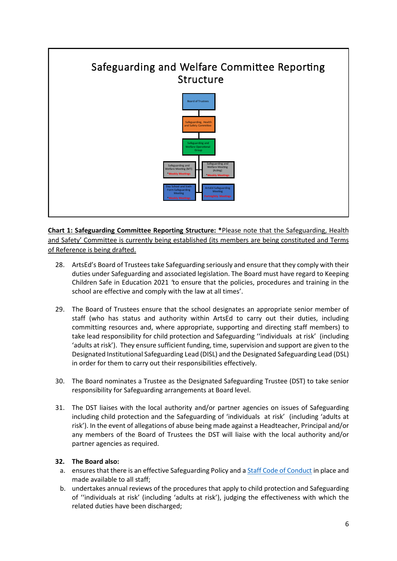# Safeguarding and Welfare Committee Reporting Structure



**Chart 1: Safeguarding Committee Reporting Structure: \***Please note that the Safeguarding, Health and Safety' Committee is currently being established (its members are being constituted and Terms of Reference is being drafted.

- 28. ArtsEd's Board of Trustees take Safeguarding seriously and ensure that they comply with their duties under Safeguarding and associated legislation. The Board must have regard to Keeping Children Safe in Education 2021 *'*to ensure that the policies, procedures and training in the school are effective and comply with the law at all times'.
- 29. The Board of Trustees ensure that the school designates an appropriate senior member of staff (who has status and authority within ArtsEd to carry out their duties, including committing resources and, where appropriate, supporting and directing staff members) to take lead responsibility for child protection and Safeguarding ''individuals at risk' (including 'adults at risk'). They ensure sufficient funding, time, supervision and support are given to the Designated Institutional Safeguarding Lead (DISL) and the Designated Safeguarding Lead (DSL) in order for them to carry out their responsibilities effectively.
- 30. The Board nominates a Trustee as the Designated Safeguarding Trustee (DST) to take senior responsibility for Safeguarding arrangements at Board level.
- 31. The DST liaises with the local authority and/or partner agencies on issues of Safeguarding including child protection and the Safeguarding of 'individuals at risk' (including 'adults at risk'). In the event of allegations of abuse being made against a Headteacher, Principal and/or any members of the Board of Trustees the DST will liaise with the local authority and/or partner agencies as required.

## **32. The Board also:**

- a. ensures that there is an effective Safeguarding Policy and [a Staff Code of Conduct](https://artsed003.blob.core.windows.net/policy/staff-code-of-conduct.pdf) in place and made available to all staff;
- b. undertakes annual reviews of the procedures that apply to child protection and Safeguarding of ''individuals at risk' (including 'adults at risk'), judging the effectiveness with which the related duties have been discharged;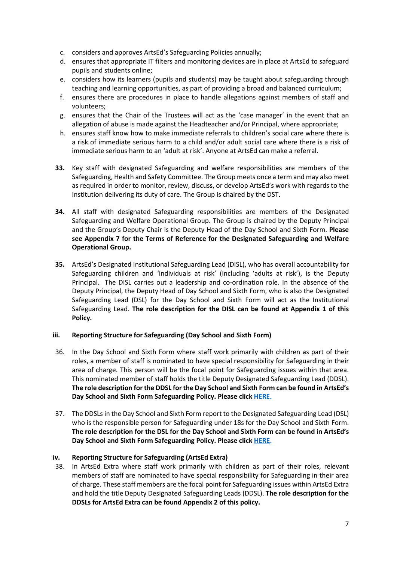- c. considers and approves ArtsEd's Safeguarding Policies annually;
- d. ensures that appropriate IT filters and monitoring devices are in place at ArtsEd to safeguard pupils and students online;
- e. considers how its learners (pupils and students) may be taught about safeguarding through teaching and learning opportunities, as part of providing a broad and balanced curriculum;
- f. ensures there are procedures in place to handle allegations against members of staff and volunteers;
- g. ensures that the Chair of the Trustees will act as the 'case manager' in the event that an allegation of abuse is made against the Headteacher and/or Principal, where appropriate;
- h. ensures staff know how to make immediate referrals to children's social care where there is a risk of immediate serious harm to a child and/or adult social care where there is a risk of immediate serious harm to an 'adult at risk'. Anyone at ArtsEd can make a referral.
- **33.** Key staff with designated Safeguarding and welfare responsibilities are members of the Safeguarding, Health and Safety Committee. The Group meets once a term and may also meet as required in order to monitor, review, discuss, or develop ArtsEd's work with regards to the Institution delivering its duty of care. The Group is chaired by the DST.
- **34.** All staff with designated Safeguarding responsibilities are members of the Designated Safeguarding and Welfare Operational Group. The Group is chaired by the Deputy Principal and the Group's Deputy Chair is the Deputy Head of the Day School and Sixth Form. **Please see Appendix 7 for the Terms of Reference for the Designated Safeguarding and Welfare Operational Group.**
- **35.** ArtsEd's Designated Institutional Safeguarding Lead (DISL), who has overall accountability for Safeguarding children and 'individuals at risk' (including 'adults at risk'), is the Deputy Principal. The DISL carries out a leadership and co-ordination role. In the absence of the Deputy Principal, the Deputy Head of Day School and Sixth Form, who is also the Designated Safeguarding Lead (DSL) for the Day School and Sixth Form will act as the Institutional Safeguarding Lead. **The role description for the DISL can be found at Appendix 1 of this Policy.**

#### **iii. Reporting Structure for Safeguarding (Day School and Sixth Form)**

- 36. In the Day School and Sixth Form where staff work primarily with children as part of their roles, a member of staff is nominated to have special responsibility for Safeguarding in their area of charge. This person will be the focal point for Safeguarding issues within that area. This nominated member of staff holds the title Deputy Designated Safeguarding Lead (DDSL). **The role description for the DDSL for the Day School and Sixth Form can be found in ArtsEd's Day School and Sixth Form Safeguarding Policy. Please click [HERE.](https://artsed.sharepoint.com/:w:/g/orgfileshare/EQP1CKF-Z6JMjiG7_u6srwIBhVuoGqvaz64mVdyXq-_suA?e=1CI1GN)**
- 37. The DDSLs in the Day School and Sixth Form report to the Designated Safeguarding Lead (DSL) who is the responsible person for Safeguarding under 18s for the Day School and Sixth Form. **The role description for the DSL for the Day School and Sixth Form can be found in ArtsEd's Day School and Sixth Form Safeguarding Policy. Please click [HERE.](https://artsed.sharepoint.com/:w:/g/orgfileshare/EQP1CKF-Z6JMjiG7_u6srwIBhVuoGqvaz64mVdyXq-_suA?e=1CI1GN)**

#### **iv. Reporting Structure for Safeguarding (ArtsEd Extra)**

38. In ArtsEd Extra where staff work primarily with children as part of their roles, relevant members of staff are nominated to have special responsibility for Safeguarding in their area of charge. These staff members are the focal point for Safeguarding issues within ArtsEd Extra and hold the title Deputy Designated Safeguarding Leads (DDSL). **The role description for the DDSLs for ArtsEd Extra can be found Appendix 2 of this policy.**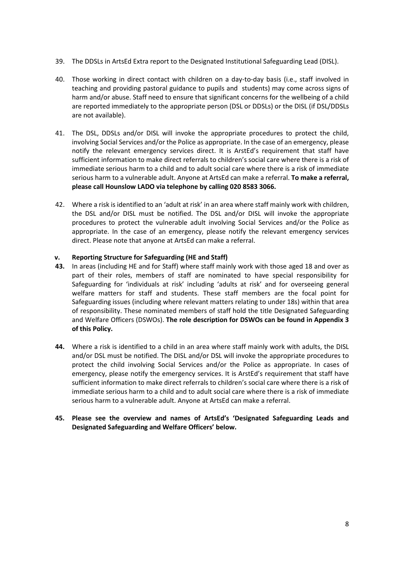- 39. The DDSLs in ArtsEd Extra report to the Designated Institutional Safeguarding Lead (DISL).
- 40. Those working in direct contact with children on a day-to-day basis (i.e., staff involved in teaching and providing pastoral guidance to pupils and students) may come across signs of harm and/or abuse. Staff need to ensure that significant concerns for the wellbeing of a child are reported immediately to the appropriate person (DSL or DDSLs) or the DISL (if DSL/DDSLs are not available).
- 41. The DSL, DDSLs and/or DISL will invoke the appropriate procedures to protect the child, involving Social Services and/or the Police as appropriate. In the case of an emergency, please notify the relevant emergency services direct. It is ArstEd's requirement that staff have sufficient information to make direct referrals to children's social care where there is a risk of immediate serious harm to a child and to adult social care where there is a risk of immediate serious harm to a vulnerable adult. Anyone at ArtsEd can make a referral. **To make a referral, please call Hounslow LADO via telephone by calling 020 8583 3066.**
- 42. Where a risk is identified to an 'adult at risk' in an area where staff mainly work with children, the DSL and/or DISL must be notified. The DSL and/or DISL will invoke the appropriate procedures to protect the vulnerable adult involving Social Services and/or the Police as appropriate. In the case of an emergency, please notify the relevant emergency services direct. Please note that anyone at ArtsEd can make a referral.

## **v. Reporting Structure for Safeguarding (HE and Staff)**

- **43.** In areas (including HE and for Staff) where staff mainly work with those aged 18 and over as part of their roles, members of staff are nominated to have special responsibility for Safeguarding for 'individuals at risk' including 'adults at risk' and for overseeing general welfare matters for staff and students. These staff members are the focal point for Safeguarding issues (including where relevant matters relating to under 18s) within that area of responsibility. These nominated members of staff hold the title Designated Safeguarding and Welfare Officers (DSWOs). **The role description for DSWOs can be found in Appendix 3 of this Policy.**
- **44.** Where a risk is identified to a child in an area where staff mainly work with adults, the DISL and/or DSL must be notified. The DISL and/or DSL will invoke the appropriate procedures to protect the child involving Social Services and/or the Police as appropriate. In cases of emergency, please notify the emergency services. It is ArstEd's requirement that staff have sufficient information to make direct referrals to children's social care where there is a risk of immediate serious harm to a child and to adult social care where there is a risk of immediate serious harm to a vulnerable adult. Anyone at ArtsEd can make a referral.
- **45. Please see the overview and names of ArtsEd's 'Designated Safeguarding Leads and Designated Safeguarding and Welfare Officers' below.**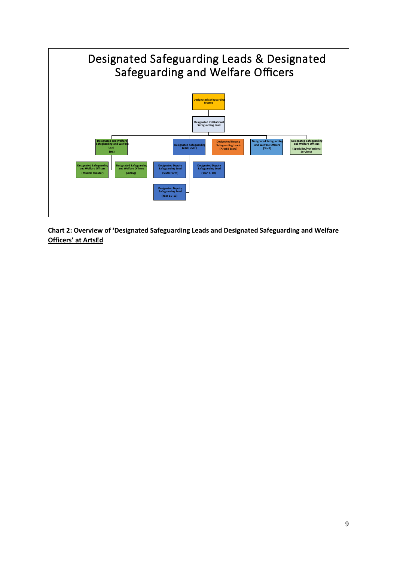

**Chart 2: Overview of 'Designated Safeguarding Leads and Designated Safeguarding and Welfare Officers' at ArtsEd**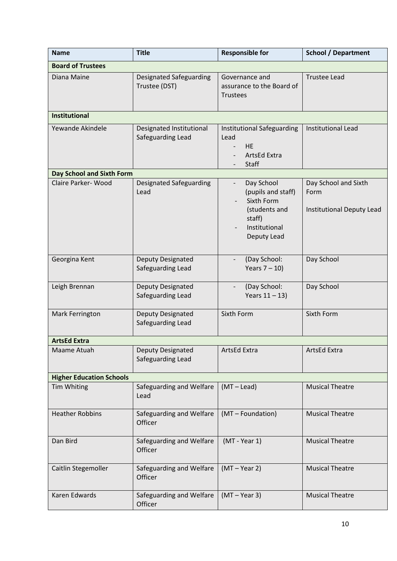| <b>Name</b>                     | <b>Title</b>                                    | <b>Responsible for</b>                                                                                                                | <b>School / Department</b>                                       |
|---------------------------------|-------------------------------------------------|---------------------------------------------------------------------------------------------------------------------------------------|------------------------------------------------------------------|
| <b>Board of Trustees</b>        |                                                 |                                                                                                                                       |                                                                  |
| Diana Maine                     | <b>Designated Safeguarding</b><br>Trustee (DST) | Governance and<br>assurance to the Board of<br><b>Trustees</b>                                                                        | <b>Trustee Lead</b>                                              |
| <b>Institutional</b>            |                                                 |                                                                                                                                       |                                                                  |
| Yewande Akindele                | Designated Institutional<br>Safeguarding Lead   | Institutional Safeguarding<br>Lead<br><b>HE</b><br>ArtsEd Extra<br>Staff                                                              | <b>Institutional Lead</b>                                        |
| Day School and Sixth Form       |                                                 |                                                                                                                                       |                                                                  |
| Claire Parker-Wood              | <b>Designated Safeguarding</b><br>Lead          | Day School<br>$\overline{\phantom{a}}$<br>(pupils and staff)<br>Sixth Form<br>(students and<br>staff)<br>Institutional<br>Deputy Lead | Day School and Sixth<br>Form<br><b>Institutional Deputy Lead</b> |
| Georgina Kent                   | Deputy Designated<br>Safeguarding Lead          | (Day School:<br>Years $7 - 10$ )                                                                                                      | Day School                                                       |
| Leigh Brennan                   | Deputy Designated<br>Safeguarding Lead          | (Day School:<br>Years $11 - 13$ )                                                                                                     | Day School                                                       |
| Mark Ferrington                 | Deputy Designated<br>Safeguarding Lead          | Sixth Form                                                                                                                            | Sixth Form                                                       |
| <b>ArtsEd Extra</b>             |                                                 |                                                                                                                                       |                                                                  |
| Maame Atuah                     | Deputy Designated<br>Safeguarding Lead          | ArtsEd Extra                                                                                                                          | ArtsEd Extra                                                     |
| <b>Higher Education Schools</b> |                                                 |                                                                                                                                       |                                                                  |
| Tim Whiting                     | Safeguarding and Welfare<br>Lead                | $(MT - Lead)$                                                                                                                         | <b>Musical Theatre</b>                                           |
| <b>Heather Robbins</b>          | Safeguarding and Welfare<br>Officer             | (MT - Foundation)                                                                                                                     | <b>Musical Theatre</b>                                           |
| Dan Bird                        | Safeguarding and Welfare<br>Officer             | $(MT - Year 1)$                                                                                                                       | <b>Musical Theatre</b>                                           |
| Caitlin Stegemoller             | Safeguarding and Welfare<br>Officer             | $(MT - Year 2)$                                                                                                                       | <b>Musical Theatre</b>                                           |
| Karen Edwards                   | Safeguarding and Welfare<br>Officer             | $(MT - Year 3)$                                                                                                                       | <b>Musical Theatre</b>                                           |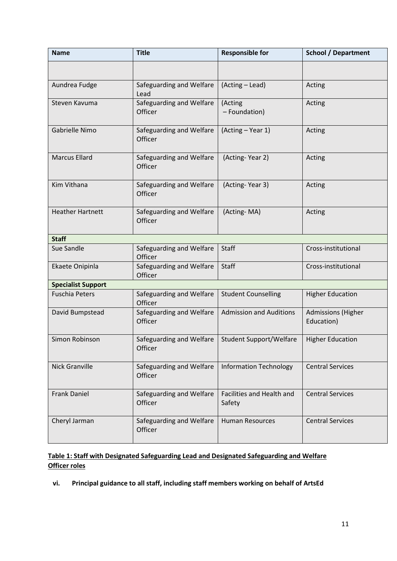| <b>Name</b>               | <b>Title</b>                        | <b>Responsible for</b>              | <b>School / Department</b>              |
|---------------------------|-------------------------------------|-------------------------------------|-----------------------------------------|
|                           |                                     |                                     |                                         |
| Aundrea Fudge             | Safeguarding and Welfare<br>Lead    | (Acting - Lead)                     | Acting                                  |
| Steven Kavuma             | Safeguarding and Welfare<br>Officer | (Acting<br>- Foundation)            | Acting                                  |
| Gabrielle Nimo            | Safeguarding and Welfare<br>Officer | (Acting - Year 1)                   | Acting                                  |
| <b>Marcus Ellard</b>      | Safeguarding and Welfare<br>Officer | (Acting-Year 2)                     | Acting                                  |
| Kim Vithana               | Safeguarding and Welfare<br>Officer | (Acting-Year 3)                     | Acting                                  |
| <b>Heather Hartnett</b>   | Safeguarding and Welfare<br>Officer | (Acting-MA)                         | Acting                                  |
| <b>Staff</b>              |                                     |                                     |                                         |
| Sue Sandle                | Safeguarding and Welfare<br>Officer | <b>Staff</b>                        | Cross-institutional                     |
| Ekaete Onipinla           | Safeguarding and Welfare<br>Officer | <b>Staff</b>                        | Cross-institutional                     |
| <b>Specialist Support</b> |                                     |                                     |                                         |
| <b>Fuschia Peters</b>     | Safeguarding and Welfare<br>Officer | <b>Student Counselling</b>          | <b>Higher Education</b>                 |
| David Bumpstead           | Safeguarding and Welfare<br>Officer | <b>Admission and Auditions</b>      | <b>Admissions (Higher</b><br>Education) |
| Simon Robinson            | Safeguarding and Welfare<br>Officer | <b>Student Support/Welfare</b>      | <b>Higher Education</b>                 |
| <b>Nick Granville</b>     | Safeguarding and Welfare<br>Officer | <b>Information Technology</b>       | <b>Central Services</b>                 |
| <b>Frank Daniel</b>       | Safeguarding and Welfare<br>Officer | Facilities and Health and<br>Safety | <b>Central Services</b>                 |
| Cheryl Jarman             | Safeguarding and Welfare<br>Officer | <b>Human Resources</b>              | <b>Central Services</b>                 |

# **Table 1: Staff with Designated Safeguarding Lead and Designated Safeguarding and Welfare Officer roles**

**vi. Principal guidance to all staff, including staff members working on behalf of ArtsEd**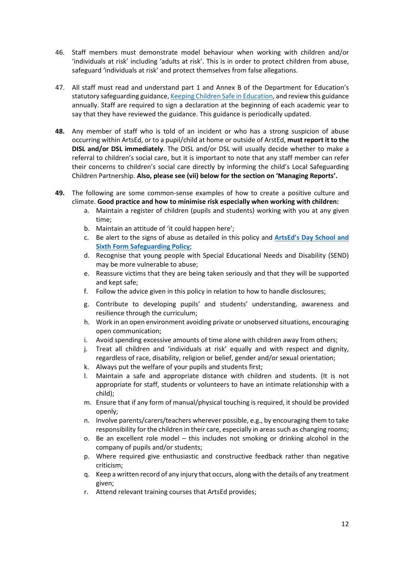- 46. Staff members must demonstrate model behaviour when working with children and/or 'individuals at risk' including 'adults at risk'. This is in order to protect children from abuse, safeguard 'individuals at risk' and protect themselves from false allegations.
- 47. All staff must read and understand part 1 and Annex B of the Department for Education's statutory safeguarding guidance[, Keeping Children Safe in Education,](https://www.gov.uk/government/publications/keeping-children-safe-in-education--2) and review this guidance annually. Staff are required to sign a declaration at the beginning of each academic year to say that they have reviewed the guidance. This guidance is periodically updated.
- **48.** Any member of staff who is told of an incident or who has a strong suspicion of abuse occurring within ArtsEd, or to a pupil/child at home or outside of ArstEd, **must report it to the DISL and/or DSL immediately**. The DISL and/or DSL will usually decide whether to make a referral to children's social care, but it is important to note that any staff member can refer their concerns to children's social care directly by informing the child's Local Safeguarding Children Partnership. **Also, please see (vii) below for the section on 'Managing Reports'.**
- **49.** The following are some common-sense examples of how to create a positive culture and climate. **Good practice and how to minimise risk especially when working with children:**
	- a. Maintain a register of children (pupils and students) working with you at any given time;
	- b. Maintain an attitude of 'it could happen here';
	- c. Be alert to the signs of abuse as detailed in this policy and **[ArtsEd's Day School and](https://artsed.sharepoint.com/:w:/g/orgfileshare/EQP1CKF-Z6JMjiG7_u6srwIBhVuoGqvaz64mVdyXq-_suA?e=1CI1GN)  [Sixth Form Safeguarding Policy](https://artsed.sharepoint.com/:w:/g/orgfileshare/EQP1CKF-Z6JMjiG7_u6srwIBhVuoGqvaz64mVdyXq-_suA?e=1CI1GN)**;
	- d. Recognise that young people with Special Educational Needs and Disability (SEND) may be more vulnerable to abuse;
	- e. Reassure victims that they are being taken seriously and that they will be supported and kept safe;
	- f. Follow the advice given in this policy in relation to how to handle disclosures;
	- g. Contribute to developing pupils' and students' understanding, awareness and resilience through the curriculum;
	- h. Work in an open environment avoiding private or unobserved situations, encouraging open communication;
	- i. Avoid spending excessive amounts of time alone with children away from others;
	- j. Treat all children and 'individuals at risk' equally and with respect and dignity, regardless of race, disability, religion or belief, gender and/or sexual orientation;
	- k. Always put the welfare of your pupils and students first;
	- l. Maintain a safe and appropriate distance with children and students. (It is not appropriate for staff, students or volunteers to have an intimate relationship with a child);
	- m. Ensure that if any form of manual/physical touching is required, it should be provided openly;
	- n. Involve parents/carers/teachers wherever possible, e.g., by encouraging them to take responsibility for the children in their care, especially in areas such as changing rooms;
	- o. Be an excellent role model this includes not smoking or drinking alcohol in the company of pupils and/or students;
	- p. Where required give enthusiastic and constructive feedback rather than negative criticism;
	- q. Keep a written record of any injury that occurs, along with the details of any treatment given;
	- r. Attend relevant training courses that ArtsEd provides;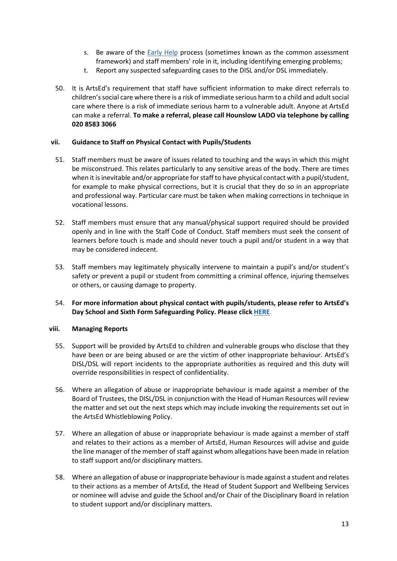- s. Be aware of the [Early Help](https://assets.publishing.service.gov.uk/government/uploads/system/uploads/attachment_data/file/1066034/Early_Help_System_Guide.pdf) process (sometimes known as the common assessment framework) and staff members' role in it, including identifying emerging problems;
- t. Report any suspected safeguarding cases to the DISL and/or DSL immediately.
- 50. It is ArtsEd's requirement that staff have sufficient information to make direct referrals to children's social care where there is a risk of immediate serious harm to a child and adult social care where there is a risk of immediate serious harm to a vulnerable adult. Anyone at ArtsEd can make a referral. **To make a referral, please call Hounslow LADO via telephone by calling 020 8583 3066**

#### **vii. Guidance to Staff on Physical Contact with Pupils/Students**

- 51. Staff members must be aware of issues related to touching and the ways in which this might be misconstrued. This relates particularly to any sensitive areas of the body. There are times when it is inevitable and/or appropriate for staff to have physical contact with a pupil/student, for example to make physical corrections, but it is crucial that they do so in an appropriate and professional way. Particular care must be taken when making corrections in technique in vocational lessons.
- 52. Staff members must ensure that any manual/physical support required should be provided openly and in line with the Staff Code of Conduct. Staff members must seek the consent of learners before touch is made and should never touch a pupil and/or student in a way that may be considered indecent.
- 53. Staff members may legitimately physically intervene to maintain a pupil's and/or student's safety or prevent a pupil or student from committing a criminal offence, injuring themselves or others, or causing damage to property.
- 54. **For more information about physical contact with pupils/students, please refer to ArtsEd's Day School and Sixth Form Safeguarding Policy. Please click [HERE](https://artsed.sharepoint.com/:w:/g/orgfileshare/EQP1CKF-Z6JMjiG7_u6srwIBhVuoGqvaz64mVdyXq-_suA?e=1CI1GN)**.

#### **viii. Managing Reports**

- 55. Support will be provided by ArtsEd to children and vulnerable groups who disclose that they have been or are being abused or are the victim of other inappropriate behaviour. ArtsEd's DISL/DSL will report incidents to the appropriate authorities as required and this duty will override responsibilities in respect of confidentiality.
- 56. Where an allegation of abuse or inappropriate behaviour is made against a member of the Board of Trustees, the DISL/DSL in conjunction with the Head of Human Resources will review the matter and set out the next steps which may include invoking the requirements set out in the ArtsEd Whistleblowing Policy.
- 57. Where an allegation of abuse or inappropriate behaviour is made against a member of staff and relates to their actions as a member of ArtsEd, Human Resources will advise and guide the line manager of the member of staff against whom allegations have been made in relation to staff support and/or disciplinary matters.
- 58. Where an allegation of abuse or inappropriate behaviour is made against a student and relates to their actions as a member of ArtsEd, the Head of Student Support and Wellbeing Services or nominee will advise and guide the School and/or Chair of the Disciplinary Board in relation to student support and/or disciplinary matters.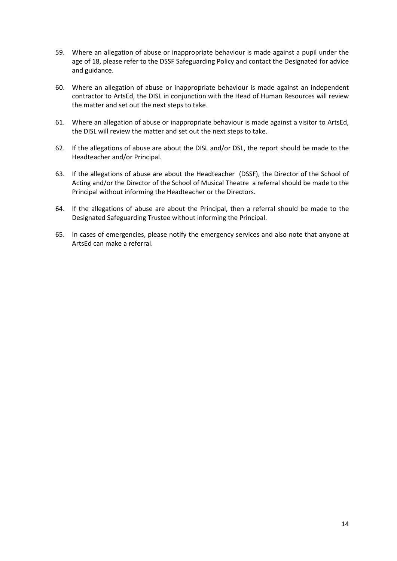- 59. Where an allegation of abuse or inappropriate behaviour is made against a pupil under the age of 18, please refer to the DSSF Safeguarding Policy and contact the Designated for advice and guidance.
- 60. Where an allegation of abuse or inappropriate behaviour is made against an independent contractor to ArtsEd, the DISL in conjunction with the Head of Human Resources will review the matter and set out the next steps to take.
- 61. Where an allegation of abuse or inappropriate behaviour is made against a visitor to ArtsEd, the DISL will review the matter and set out the next steps to take.
- 62. If the allegations of abuse are about the DISL and/or DSL, the report should be made to the Headteacher and/or Principal.
- 63. If the allegations of abuse are about the Headteacher (DSSF), the Director of the School of Acting and/or the Director of the School of Musical Theatre a referral should be made to the Principal without informing the Headteacher or the Directors.
- 64. If the allegations of abuse are about the Principal, then a referral should be made to the Designated Safeguarding Trustee without informing the Principal.
- 65. In cases of emergencies, please notify the emergency services and also note that anyone at ArtsEd can make a referral.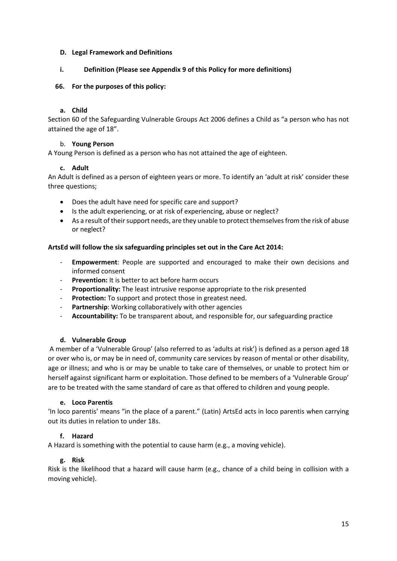#### **D. Legal Framework and Definitions**

## **i. Definition (Please see Appendix 9 of this Policy for more definitions)**

## **66. For the purposes of this policy:**

#### **a. Child**

Section 60 of the Safeguarding Vulnerable Groups Act 2006 defines a Child as "a person who has not attained the age of 18".

## b. **Young Person**

A Young Person is defined as a person who has not attained the age of eighteen.

## **c. Adult**

An Adult is defined as a person of eighteen years or more. To identify an 'adult at risk' consider these three questions;

- Does the adult have need for specific care and support?
- Is the adult experiencing, or at risk of experiencing, abuse or neglect?
- As a result of their support needs, are they unable to protect themselves from the risk of abuse or neglect?

## **ArtsEd will follow the six safeguarding principles set out in the Care Act 2014:**

- **Empowerment**: People are supported and encouraged to make their own decisions and informed consent
- Prevention: It is better to act before harm occurs
- **Proportionality:** The least intrusive response appropriate to the risk presented
- Protection: To support and protect those in greatest need.
- Partnership: Working collaboratively with other agencies
- **Accountability:** To be transparent about, and responsible for, our safeguarding practice

#### **d. Vulnerable Group**

A member of a 'Vulnerable Group' (also referred to as 'adults at risk') is defined as a person aged 18 or over who is, or may be in need of, community care services by reason of mental or other disability, age or illness; and who is or may be unable to take care of themselves, or unable to protect him or herself against significant harm or exploitation. Those defined to be members of a 'Vulnerable Group' are to be treated with the same standard of care as that offered to children and young people.

#### **e. Loco Parentis**

'In loco parentis' means "in the place of a parent." (Latin) ArtsEd acts in loco parentis when carrying out its duties in relation to under 18s.

## **f. Hazard**

A Hazard is something with the potential to cause harm (e.g., a moving vehicle).

#### **g. Risk**

Risk is the likelihood that a hazard will cause harm (e.g., chance of a child being in collision with a moving vehicle).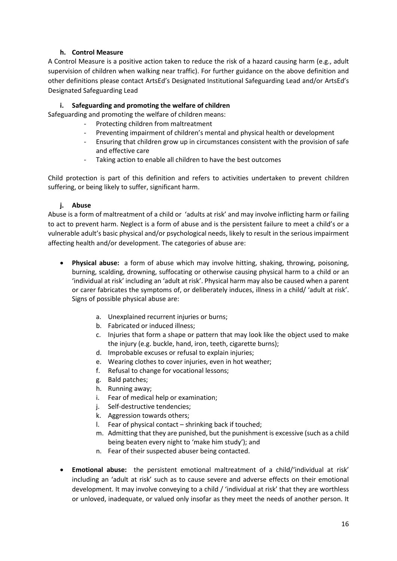## **h. Control Measure**

A Control Measure is a positive action taken to reduce the risk of a hazard causing harm (e.g., adult supervision of children when walking near traffic). For further guidance on the above definition and other definitions please contact ArtsEd's Designated Institutional Safeguarding Lead and/or ArtsEd's Designated Safeguarding Lead

# **i. Safeguarding and promoting the welfare of children**

Safeguarding and promoting the welfare of children means:

- Protecting children from maltreatment
- Preventing impairment of children's mental and physical health or development
- Ensuring that children grow up in circumstances consistent with the provision of safe and effective care
- Taking action to enable all children to have the best outcomes

Child protection is part of this definition and refers to activities undertaken to prevent children suffering, or being likely to suffer, significant harm.

## **j. Abuse**

Abuse is a form of maltreatment of a child or 'adults at risk' and may involve inflicting harm or failing to act to prevent harm. Neglect is a form of abuse and is the persistent failure to meet a child's or a vulnerable adult's basic physical and/or psychological needs, likely to result in the serious impairment affecting health and/or development. The categories of abuse are:

- **Physical abuse:** a form of abuse which may involve hitting, shaking, throwing, poisoning, burning, scalding, drowning, suffocating or otherwise causing physical harm to a child or an 'individual at risk' including an 'adult at risk'. Physical harm may also be caused when a parent or carer fabricates the symptoms of, or deliberately induces, illness in a child/ 'adult at risk'. Signs of possible physical abuse are:
	- a. Unexplained recurrent injuries or burns;
	- b. Fabricated or induced illness;
	- c. Injuries that form a shape or pattern that may look like the object used to make the injury (e.g. buckle, hand, iron, teeth, cigarette burns);
	- d. Improbable excuses or refusal to explain injuries;
	- e. Wearing clothes to cover injuries, even in hot weather;
	- f. Refusal to change for vocational lessons;
	- g. Bald patches;
	- h. Running away;
	- i. Fear of medical help or examination;
	- j. Self-destructive tendencies;
	- k. Aggression towards others;
	- l. Fear of physical contact shrinking back if touched;
	- m. Admitting that they are punished, but the punishment is excessive (such as a child being beaten every night to 'make him study'); and
	- n. Fear of their suspected abuser being contacted.
- **Emotional abuse:** the persistent emotional maltreatment of a child/'individual at risk' including an 'adult at risk' such as to cause severe and adverse effects on their emotional development. It may involve conveying to a child / 'individual at risk' that they are worthless or unloved, inadequate, or valued only insofar as they meet the needs of another person. It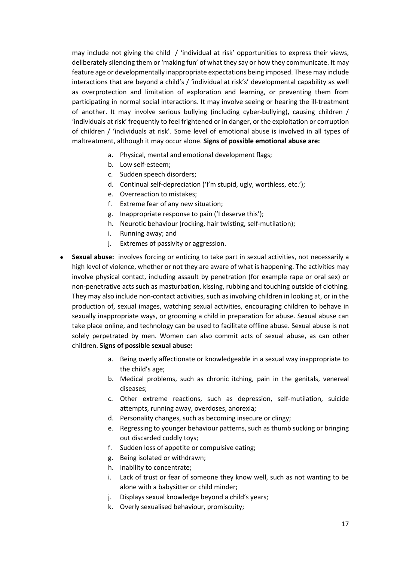may include not giving the child / 'individual at risk' opportunities to express their views, deliberately silencing them or 'making fun' of what they say or how they communicate. It may feature age or developmentally inappropriate expectations being imposed. These may include interactions that are beyond a child's / 'individual at risk's' developmental capability as well as overprotection and limitation of exploration and learning, or preventing them from participating in normal social interactions. It may involve seeing or hearing the ill-treatment of another. It may involve serious bullying (including cyber-bullying), causing children / 'individuals at risk' frequently to feel frightened or in danger, or the exploitation or corruption of children / 'individuals at risk'. Some level of emotional abuse is involved in all types of maltreatment, although it may occur alone. **Signs of possible emotional abuse are:**

- a. Physical, mental and emotional development flags;
- b. Low self-esteem;
- c. Sudden speech disorders;
- d. Continual self-depreciation ('I'm stupid, ugly, worthless, etc.');
- e. Overreaction to mistakes;
- f. Extreme fear of any new situation;
- g. Inappropriate response to pain ('I deserve this');
- h. Neurotic behaviour (rocking, hair twisting, self-mutilation);
- i. Running away; and
- j. Extremes of passivity or aggression.
- **Sexual abuse:** involves forcing or enticing to take part in sexual activities, not necessarily a high level of violence, whether or not they are aware of what is happening. The activities may involve physical contact, including assault by penetration (for example rape or oral sex) or non-penetrative acts such as masturbation, kissing, rubbing and touching outside of clothing. They may also include non-contact activities, such as involving children in looking at, or in the production of, sexual images, watching sexual activities, encouraging children to behave in sexually inappropriate ways, or grooming a child in preparation for abuse. Sexual abuse can take place online, and technology can be used to facilitate offline abuse. Sexual abuse is not solely perpetrated by men. Women can also commit acts of sexual abuse, as can other children. **Signs of possible sexual abuse:**
	- a. Being overly affectionate or knowledgeable in a sexual way inappropriate to the child's age;
	- b. Medical problems, such as chronic itching, pain in the genitals, venereal diseases;
	- c. Other extreme reactions, such as depression, self-mutilation, suicide attempts, running away, overdoses, anorexia;
	- d. Personality changes, such as becoming insecure or clingy;
	- e. Regressing to younger behaviour patterns, such as thumb sucking or bringing out discarded cuddly toys;
	- f. Sudden loss of appetite or compulsive eating;
	- g. Being isolated or withdrawn;
	- h. Inability to concentrate;
	- i. Lack of trust or fear of someone they know well, such as not wanting to be alone with a babysitter or child minder;
	- j. Displays sexual knowledge beyond a child's years;
	- k. Overly sexualised behaviour, promiscuity;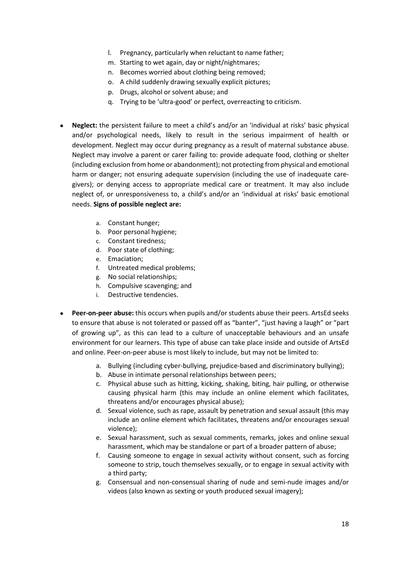- l. Pregnancy, particularly when reluctant to name father;
- m. Starting to wet again, day or night/nightmares;
- n. Becomes worried about clothing being removed;
- o. A child suddenly drawing sexually explicit pictures;
- p. Drugs, alcohol or solvent abuse; and
- q. Trying to be 'ultra-good' or perfect, overreacting to criticism.
- **Neglect:** the persistent failure to meet a child's and/or an 'individual at risks' basic physical and/or psychological needs, likely to result in the serious impairment of health or development. Neglect may occur during pregnancy as a result of maternal substance abuse. Neglect may involve a parent or carer failing to: provide adequate food, clothing or shelter (including exclusion from home or abandonment); not protecting from physical and emotional harm or danger; not ensuring adequate supervision (including the use of inadequate caregivers); or denying access to appropriate medical care or treatment. It may also include neglect of, or unresponsiveness to, a child's and/or an 'individual at risks' basic emotional needs. **Signs of possible neglect are:**
	- a. Constant hunger;
	- b. Poor personal hygiene;
	- c. Constant tiredness;
	- d. Poor state of clothing;
	- e. Emaciation;
	- f. Untreated medical problems;
	- g. No social relationships;
	- h. Compulsive scavenging; and
	- i. Destructive tendencies.
- **Peer-on-peer abuse:** this occurs when pupils and/or students abuse their peers. ArtsEd seeks to ensure that abuse is not tolerated or passed off as "banter", "just having a laugh" or "part of growing up", as this can lead to a culture of unacceptable behaviours and an unsafe environment for our learners. This type of abuse can take place inside and outside of ArtsEd and online. Peer-on-peer abuse is most likely to include, but may not be limited to:
	- a. Bullying (including cyber-bullying, prejudice-based and discriminatory bullying);
	- b. Abuse in intimate personal relationships between peers;
	- c. Physical abuse such as hitting, kicking, shaking, biting, hair pulling, or otherwise causing physical harm (this may include an online element which facilitates, threatens and/or encourages physical abuse);
	- d. Sexual violence, such as rape, assault by penetration and sexual assault (this may include an online element which facilitates, threatens and/or encourages sexual violence);
	- e. Sexual harassment, such as sexual comments, remarks, jokes and online sexual harassment, which may be standalone or part of a broader pattern of abuse;
	- f. Causing someone to engage in sexual activity without consent, such as forcing someone to strip, touch themselves sexually, or to engage in sexual activity with a third party;
	- g. Consensual and non-consensual sharing of nude and semi-nude images and/or videos (also known as sexting or youth produced sexual imagery);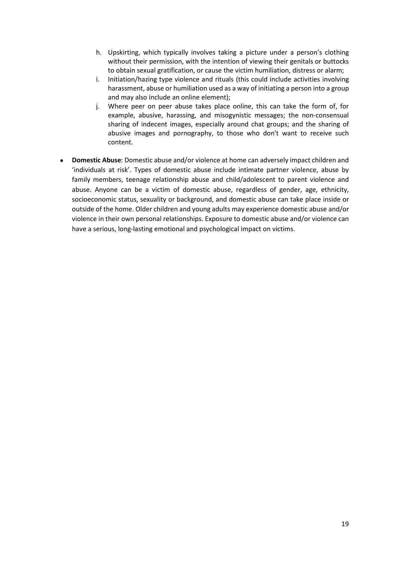- h. Upskirting, which typically involves taking a picture under a person's clothing without their permission, with the intention of viewing their genitals or buttocks to obtain sexual gratification, or cause the victim humiliation, distress or alarm;
- i. Initiation/hazing type violence and rituals (this could include activities involving harassment, abuse or humiliation used as a way of initiating a person into a group and may also include an online element);
- j. Where peer on peer abuse takes place online, this can take the form of, for example, abusive, harassing, and misogynistic messages; the non-consensual sharing of indecent images, especially around chat groups; and the sharing of abusive images and pornography, to those who don't want to receive such content.
- **Domestic Abuse**: Domestic abuse and/or violence at home can adversely impact children and 'individuals at risk'. Types of domestic abuse include intimate partner violence, abuse by family members, teenage relationship abuse and child/adolescent to parent violence and abuse. Anyone can be a victim of domestic abuse, regardless of gender, age, ethnicity, socioeconomic status, sexuality or background, and domestic abuse can take place inside or outside of the home. Older children and young adults may experience domestic abuse and/or violence in their own personal relationships. Exposure to domestic abuse and/or violence can have a serious, long-lasting emotional and psychological impact on victims.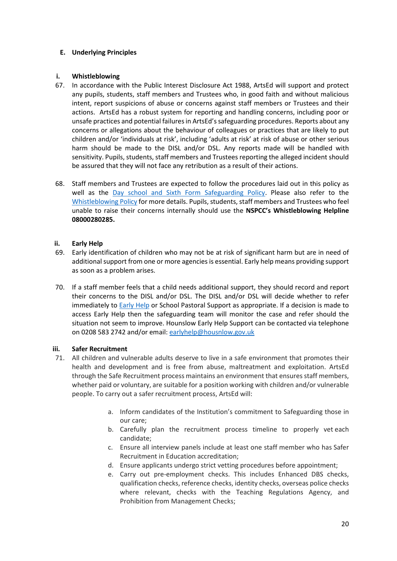## **E. Underlying Principles**

## **i. Whistleblowing**

- 67. In accordance with the Public Interest Disclosure Act 1988, ArtsEd will support and protect any pupils, students, staff members and Trustees who, in good faith and without malicious intent, report suspicions of abuse or concerns against staff members or Trustees and their actions. ArtsEd has a robust system for reporting and handling concerns, including poor or unsafe practices and potential failures in ArtsEd's safeguarding procedures. Reports about any concerns or allegations about the behaviour of colleagues or practices that are likely to put children and/or 'individuals at risk', including 'adults at risk' at risk of abuse or other serious harm should be made to the DISL and/or DSL. Any reports made will be handled with sensitivity. Pupils, students, staff members and Trustees reporting the alleged incident should be assured that they will not face any retribution as a result of their actions.
- 68. Staff members and Trustees are expected to follow the procedures laid out in this policy as well as the [Day school and Sixth Form Safeguarding Policy.](https://artsed.sharepoint.com/:w:/g/orgfileshare/EQP1CKF-Z6JMjiG7_u6srwIBhVuoGqvaz64mVdyXq-_suA?e=1CI1GN) Please also refer to the [Whistleblowing Policy](https://artsed003.blob.core.windows.net/policy/whistleblowing-policy-and-procedure.pdf) for more details. Pupils, students, staff members and Trustees who feel unable to raise their concerns internally should use the **NSPCC's Whistleblowing Helpline 08000280285.**

## **ii. Early Help**

- 69. Early identification of children who may not be at risk of significant harm but are in need of additional support from one or more agencies is essential. Early help means providing support as soon as a problem arises.
- 70. If a staff member feels that a child needs additional support, they should record and report their concerns to the DISL and/or DSL. The DISL and/or DSL will decide whether to refer immediately to **Early Help or School Pastoral Support as appropriate. If a decision is made to** access Early Help then the safeguarding team will monitor the case and refer should the situation not seem to improve. Hounslow Early Help Support can be contacted via telephone on 0208 583 2742 and/or email: [earlyhelp@housnlow.gov.uk](mailto:earlyhelp@housnlow.gov.uk)

#### **iii. Safer Recruitment**

- 71. All children and vulnerable adults deserve to live in a safe environment that promotes their health and development and is free from abuse, maltreatment and exploitation. ArtsEd through the Safe Recruitment process maintains an environment that ensures staff members, whether paid or voluntary, are suitable for a position working with children and/or vulnerable people. To carry out a safer recruitment process, ArtsEd will:
	- a. Inform candidates of the Institution's commitment to Safeguarding those in our care;
	- b. Carefully plan the recruitment process timeline to properly vet each candidate;
	- c. Ensure all interview panels include at least one staff member who has Safer Recruitment in Education accreditation;
	- d. Ensure applicants undergo strict vetting procedures before appointment;
	- e. Carry out pre-employment checks. This includes Enhanced DBS checks, qualification checks, reference checks, identity checks, overseas police checks where relevant, checks with the Teaching Regulations Agency, and Prohibition from Management Checks;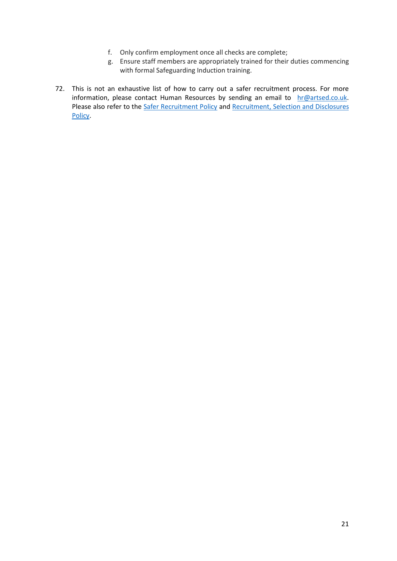- f. Only confirm employment once all checks are complete;
- g. Ensure staff members are appropriately trained for their duties commencing with formal Safeguarding Induction training.
- 72. This is not an exhaustive list of how to carry out a safer recruitment process. For more information, please contact Human Resources by sending an email to [hr@artsed.co.uk.](mailto:hr@artsed.co.uk) Please also refer to the [Safer Recruitment Policy](https://artsed003.blob.core.windows.net/policy/safer-recruitment-policy.pdf) and Recruitment, Selection and Disclosures [Policy.](https://artsed003.blob.core.windows.net/policy/recruitment-selection-and-disclosures-policy.pdf)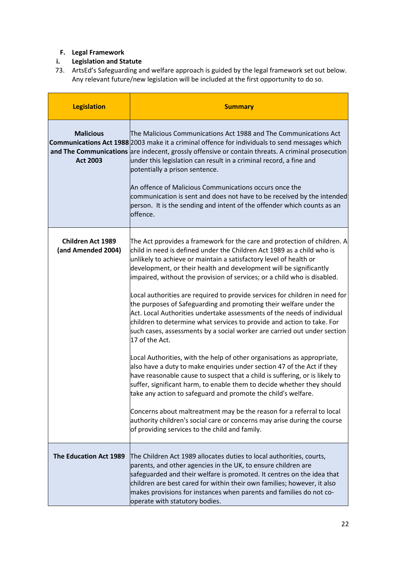# **F. Legal Framework**

# **i. Legislation and Statute**

73. ArtsEd's Safeguarding and welfare approach is guided by the legal framework set out below. Any relevant future/new legislation will be included at the first opportunity to do so.

| <b>Legislation</b>                             | <b>Summary</b>                                                                                                                                                                                                                                                                                                                                                                                                                                                                                                                                                                                                                                                                                                                                                                                                                                                                                                                                                                                                                                                                                                                                                                                                                                                                                                                                                          |
|------------------------------------------------|-------------------------------------------------------------------------------------------------------------------------------------------------------------------------------------------------------------------------------------------------------------------------------------------------------------------------------------------------------------------------------------------------------------------------------------------------------------------------------------------------------------------------------------------------------------------------------------------------------------------------------------------------------------------------------------------------------------------------------------------------------------------------------------------------------------------------------------------------------------------------------------------------------------------------------------------------------------------------------------------------------------------------------------------------------------------------------------------------------------------------------------------------------------------------------------------------------------------------------------------------------------------------------------------------------------------------------------------------------------------------|
| <b>Malicious</b><br><b>Act 2003</b>            | The Malicious Communications Act 1988 and The Communications Act<br>Communications Act 1988 2003 make it a criminal offence for individuals to send messages which<br>and The Communications are indecent, grossly offensive or contain threats. A criminal prosecution<br>under this legislation can result in a criminal record, a fine and<br>potentially a prison sentence.<br>An offence of Malicious Communications occurs once the<br>communication is sent and does not have to be received by the intended<br>person. It is the sending and intent of the offender which counts as an<br>offence.                                                                                                                                                                                                                                                                                                                                                                                                                                                                                                                                                                                                                                                                                                                                                              |
| <b>Children Act 1989</b><br>(and Amended 2004) | The Act pprovides a framework for the care and protection of children. A<br>child in need is defined under the Children Act 1989 as a child who is<br>unlikely to achieve or maintain a satisfactory level of health or<br>development, or their health and development will be significantly<br>impaired, without the provision of services; or a child who is disabled.<br>Local authorities are required to provide services for children in need for<br>the purposes of Safeguarding and promoting their welfare under the<br>Act. Local Authorities undertake assessments of the needs of individual<br>children to determine what services to provide and action to take. For<br>such cases, assessments by a social worker are carried out under section<br>17 of the Act.<br>Local Authorities, with the help of other organisations as appropriate,<br>also have a duty to make enquiries under section 47 of the Act if they<br>have reasonable cause to suspect that a child is suffering, or is likely to<br>suffer, significant harm, to enable them to decide whether they should<br>take any action to safeguard and promote the child's welfare.<br>Concerns about maltreatment may be the reason for a referral to local<br>authority children's social care or concerns may arise during the course<br>of providing services to the child and family. |
| <b>The Education Act 1989</b>                  | The Children Act 1989 allocates duties to local authorities, courts,<br>parents, and other agencies in the UK, to ensure children are<br>safeguarded and their welfare is promoted. It centres on the idea that<br>children are best cared for within their own families; however, it also<br>makes provisions for instances when parents and families do not co-<br>operate with statutory bodies.                                                                                                                                                                                                                                                                                                                                                                                                                                                                                                                                                                                                                                                                                                                                                                                                                                                                                                                                                                     |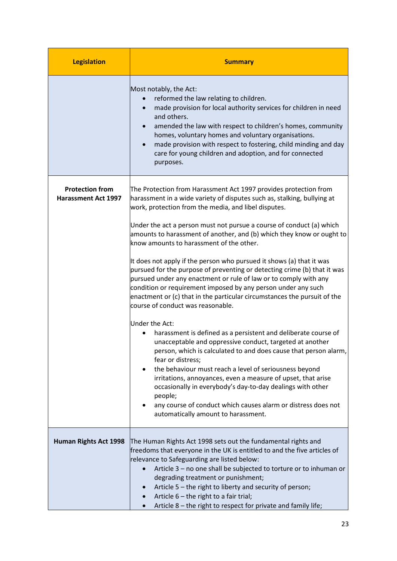| <b>Legislation</b>                                   | <b>Summary</b>                                                                                                                                                                                                                                                                                                                                                                                                                                                                                                                                                                                                                                                                                                                                                                                                                                                                                                                                                                                                                                                                                                                                                                                                                                                                                                          |  |
|------------------------------------------------------|-------------------------------------------------------------------------------------------------------------------------------------------------------------------------------------------------------------------------------------------------------------------------------------------------------------------------------------------------------------------------------------------------------------------------------------------------------------------------------------------------------------------------------------------------------------------------------------------------------------------------------------------------------------------------------------------------------------------------------------------------------------------------------------------------------------------------------------------------------------------------------------------------------------------------------------------------------------------------------------------------------------------------------------------------------------------------------------------------------------------------------------------------------------------------------------------------------------------------------------------------------------------------------------------------------------------------|--|
|                                                      | Most notably, the Act:<br>reformed the law relating to children.<br>made provision for local authority services for children in need<br>$\bullet$<br>and others.<br>amended the law with respect to children's homes, community<br>homes, voluntary homes and voluntary organisations.<br>made provision with respect to fostering, child minding and day<br>care for young children and adoption, and for connected<br>purposes.                                                                                                                                                                                                                                                                                                                                                                                                                                                                                                                                                                                                                                                                                                                                                                                                                                                                                       |  |
| <b>Protection from</b><br><b>Harassment Act 1997</b> | The Protection from Harassment Act 1997 provides protection from<br>harassment in a wide variety of disputes such as, stalking, bullying at<br>work, protection from the media, and libel disputes.<br>Under the act a person must not pursue a course of conduct (a) which<br>amounts to harassment of another, and (b) which they know or ought to<br>know amounts to harassment of the other.<br>It does not apply if the person who pursued it shows (a) that it was<br>pursued for the purpose of preventing or detecting crime (b) that it was<br>pursued under any enactment or rule of law or to comply with any<br>condition or requirement imposed by any person under any such<br>enactment or (c) that in the particular circumstances the pursuit of the<br>course of conduct was reasonable.<br>Under the Act:<br>harassment is defined as a persistent and deliberate course of<br>unacceptable and oppressive conduct, targeted at another<br>person, which is calculated to and does cause that person alarm,<br>fear or distress;<br>the behaviour must reach a level of seriousness beyond<br>irritations, annoyances, even a measure of upset, that arise<br>occasionally in everybody's day-to-day dealings with other<br>people;<br>any course of conduct which causes alarm or distress does not |  |
|                                                      | automatically amount to harassment.                                                                                                                                                                                                                                                                                                                                                                                                                                                                                                                                                                                                                                                                                                                                                                                                                                                                                                                                                                                                                                                                                                                                                                                                                                                                                     |  |
| <b>Human Rights Act 1998</b>                         | The Human Rights Act 1998 sets out the fundamental rights and<br>freedoms that everyone in the UK is entitled to and the five articles of<br>relevance to Safeguarding are listed below:<br>Article 3 - no one shall be subjected to torture or to inhuman or<br>degrading treatment or punishment;<br>Article 5 – the right to liberty and security of person;<br>Article $6$ – the right to a fair trial;<br>Article 8 - the right to respect for private and family life;                                                                                                                                                                                                                                                                                                                                                                                                                                                                                                                                                                                                                                                                                                                                                                                                                                            |  |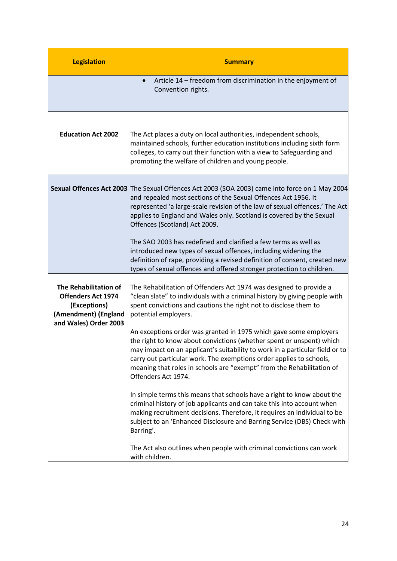| <b>Legislation</b>                                                                                                  | <b>Summary</b>                                                                                                                                                                                                                                                                                                                                                                                   |  |
|---------------------------------------------------------------------------------------------------------------------|--------------------------------------------------------------------------------------------------------------------------------------------------------------------------------------------------------------------------------------------------------------------------------------------------------------------------------------------------------------------------------------------------|--|
|                                                                                                                     | Article 14 - freedom from discrimination in the enjoyment of<br>Convention rights.                                                                                                                                                                                                                                                                                                               |  |
| <b>Education Act 2002</b>                                                                                           | The Act places a duty on local authorities, independent schools,<br>maintained schools, further education institutions including sixth form<br>colleges, to carry out their function with a view to Safeguarding and<br>promoting the welfare of children and young people.                                                                                                                      |  |
|                                                                                                                     | Sexual Offences Act 2003 The Sexual Offences Act 2003 (SOA 2003) came into force on 1 May 2004<br>and repealed most sections of the Sexual Offences Act 1956. It<br>represented 'a large-scale revision of the law of sexual offences.' The Act<br>applies to England and Wales only. Scotland is covered by the Sexual<br>Offences (Scotland) Act 2009.                                         |  |
|                                                                                                                     | The SAO 2003 has redefined and clarified a few terms as well as<br>introduced new types of sexual offences, including widening the<br>definition of rape, providing a revised definition of consent, created new<br>types of sexual offences and offered stronger protection to children.                                                                                                        |  |
| The Rehabilitation of<br><b>Offenders Act 1974</b><br>(Exceptions)<br>(Amendment) (England<br>and Wales) Order 2003 | The Rehabilitation of Offenders Act 1974 was designed to provide a<br>'clean slate" to individuals with a criminal history by giving people with<br>spent convictions and cautions the right not to disclose them to<br>potential employers.                                                                                                                                                     |  |
|                                                                                                                     | An exceptions order was granted in 1975 which gave some employers<br>the right to know about convictions (whether spent or unspent) which<br>may impact on an applicant's suitability to work in a particular field or to<br>carry out particular work. The exemptions order applies to schools,<br>meaning that roles in schools are "exempt" from the Rehabilitation of<br>Offenders Act 1974. |  |
|                                                                                                                     | In simple terms this means that schools have a right to know about the<br>criminal history of job applicants and can take this into account when<br>making recruitment decisions. Therefore, it requires an individual to be<br>subject to an 'Enhanced Disclosure and Barring Service (DBS) Check with<br>Barring'.                                                                             |  |
|                                                                                                                     | The Act also outlines when people with criminal convictions can work<br>with children.                                                                                                                                                                                                                                                                                                           |  |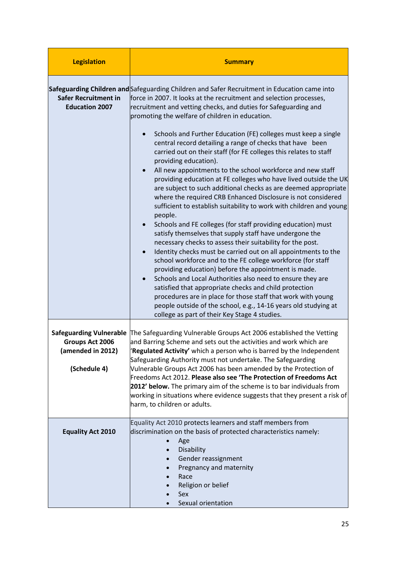| <b>Legislation</b>                                                                     | <b>Summary</b>                                                                                                                                                                                                                                                                                                                                                                                                                                                                                                                                                                                                                                                                                                                                                                                                                                                                                                                                                                                                                                                                                                                                                                                                                                                                                           |  |
|----------------------------------------------------------------------------------------|----------------------------------------------------------------------------------------------------------------------------------------------------------------------------------------------------------------------------------------------------------------------------------------------------------------------------------------------------------------------------------------------------------------------------------------------------------------------------------------------------------------------------------------------------------------------------------------------------------------------------------------------------------------------------------------------------------------------------------------------------------------------------------------------------------------------------------------------------------------------------------------------------------------------------------------------------------------------------------------------------------------------------------------------------------------------------------------------------------------------------------------------------------------------------------------------------------------------------------------------------------------------------------------------------------|--|
| <b>Safer Recruitment in</b><br><b>Education 2007</b>                                   | Safeguarding Children and Safeguarding Children and Safer Recruitment in Education came into<br>force in 2007. It looks at the recruitment and selection processes,<br>recruitment and vetting checks, and duties for Safeguarding and<br>promoting the welfare of children in education.                                                                                                                                                                                                                                                                                                                                                                                                                                                                                                                                                                                                                                                                                                                                                                                                                                                                                                                                                                                                                |  |
|                                                                                        | Schools and Further Education (FE) colleges must keep a single<br>central record detailing a range of checks that have been<br>carried out on their staff (for FE colleges this relates to staff<br>providing education).<br>All new appointments to the school workforce and new staff<br>providing education at FE colleges who have lived outside the UK<br>are subject to such additional checks as are deemed appropriate<br>where the required CRB Enhanced Disclosure is not considered<br>sufficient to establish suitability to work with children and young<br>people.<br>Schools and FE colleges (for staff providing education) must<br>satisfy themselves that supply staff have undergone the<br>necessary checks to assess their suitability for the post.<br>Identity checks must be carried out on all appointments to the<br>$\bullet$<br>school workforce and to the FE college workforce (for staff<br>providing education) before the appointment is made.<br>Schools and Local Authorities also need to ensure they are<br>$\bullet$<br>satisfied that appropriate checks and child protection<br>procedures are in place for those staff that work with young<br>people outside of the school, e.g., 14-16 years old studying at<br>college as part of their Key Stage 4 studies. |  |
| <b>Safeguarding Vulnerable</b><br>Groups Act 2006<br>(amended in 2012)<br>(Schedule 4) | The Safeguarding Vulnerable Groups Act 2006 established the Vetting<br>and Barring Scheme and sets out the activities and work which are<br>Regulated Activity' which a person who is barred by the Independent<br>Safeguarding Authority must not undertake. The Safeguarding<br>Vulnerable Groups Act 2006 has been amended by the Protection of<br>Freedoms Act 2012. Please also see 'The Protection of Freedoms Act<br>2012' below. The primary aim of the scheme is to bar individuals from<br>working in situations where evidence suggests that they present a risk of<br>harm, to children or adults.                                                                                                                                                                                                                                                                                                                                                                                                                                                                                                                                                                                                                                                                                           |  |
| <b>Equality Act 2010</b>                                                               | Equality Act 2010 protects learners and staff members from<br>discrimination on the basis of protected characteristics namely:<br>Age<br>Disability<br>Gender reassignment<br>$\bullet$<br>Pregnancy and maternity<br>Race<br>Religion or belief<br>Sex<br>Sexual orientation                                                                                                                                                                                                                                                                                                                                                                                                                                                                                                                                                                                                                                                                                                                                                                                                                                                                                                                                                                                                                            |  |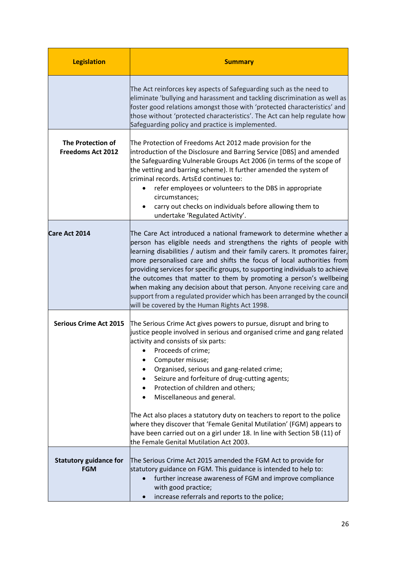| <b>Legislation</b>                                   | <b>Summary</b>                                                                                                                                                                                                                                                                                                                                                                                                                                                                                                                                                                                                                                                                  |
|------------------------------------------------------|---------------------------------------------------------------------------------------------------------------------------------------------------------------------------------------------------------------------------------------------------------------------------------------------------------------------------------------------------------------------------------------------------------------------------------------------------------------------------------------------------------------------------------------------------------------------------------------------------------------------------------------------------------------------------------|
|                                                      | The Act reinforces key aspects of Safeguarding such as the need to<br>eliminate 'bullying and harassment and tackling discrimination as well as<br>foster good relations amongst those with 'protected characteristics' and<br>those without 'protected characteristics'. The Act can help regulate how<br>Safeguarding policy and practice is implemented.                                                                                                                                                                                                                                                                                                                     |
| <b>The Protection of</b><br><b>Freedoms Act 2012</b> | The Protection of Freedoms Act 2012 made provision for the<br>introduction of the Disclosure and Barring Service [DBS] and amended<br>the Safeguarding Vulnerable Groups Act 2006 (in terms of the scope of<br>the vetting and barring scheme). It further amended the system of<br>criminal records. ArtsEd continues to:<br>refer employees or volunteers to the DBS in appropriate<br>circumstances;<br>carry out checks on individuals before allowing them to<br>undertake 'Regulated Activity'.                                                                                                                                                                           |
| Care Act 2014                                        | The Care Act introduced a national framework to determine whether a<br>person has eligible needs and strengthens the rights of people with<br>learning disabilities / autism and their family carers. It promotes fairer,<br>more personalised care and shifts the focus of local authorities from<br>providing services for specific groups, to supporting individuals to achieve<br>the outcomes that matter to them by promoting a person's wellbeing<br>when making any decision about that person. Anyone receiving care and<br>support from a regulated provider which has been arranged by the council<br>will be covered by the Human Rights Act 1998.                  |
| <b>Serious Crime Act 2015</b>                        | The Serious Crime Act gives powers to pursue, disrupt and bring to<br>justice people involved in serious and organised crime and gang related<br>activity and consists of six parts:<br>Proceeds of crime;<br>Computer misuse;<br>Organised, serious and gang-related crime;<br>Seizure and forfeiture of drug-cutting agents;<br>Protection of children and others;<br>Miscellaneous and general.<br>The Act also places a statutory duty on teachers to report to the police<br>where they discover that 'Female Genital Mutilation' (FGM) appears to<br>have been carried out on a girl under 18. In line with Section 5B (11) of<br>the Female Genital Mutilation Act 2003. |
| <b>Statutory guidance for</b><br><b>FGM</b>          | The Serious Crime Act 2015 amended the FGM Act to provide for<br>statutory guidance on FGM. This guidance is intended to help to:<br>further increase awareness of FGM and improve compliance<br>with good practice;<br>increase referrals and reports to the police;                                                                                                                                                                                                                                                                                                                                                                                                           |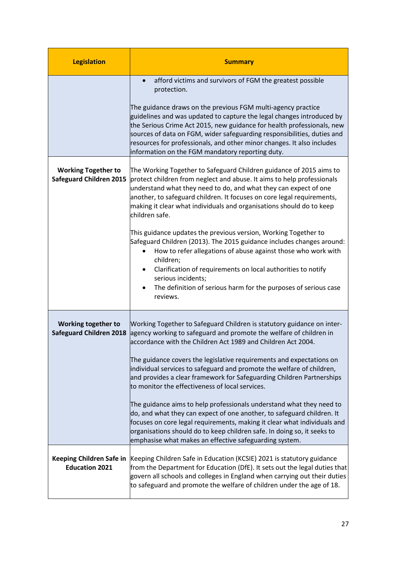| <b>Legislation</b>                                           | <b>Summary</b>                                                                                                                                                                                                                                                                                                                                                                                                                                                                                                                                                                                                                                                                                                                                                                                                                                               |
|--------------------------------------------------------------|--------------------------------------------------------------------------------------------------------------------------------------------------------------------------------------------------------------------------------------------------------------------------------------------------------------------------------------------------------------------------------------------------------------------------------------------------------------------------------------------------------------------------------------------------------------------------------------------------------------------------------------------------------------------------------------------------------------------------------------------------------------------------------------------------------------------------------------------------------------|
|                                                              | afford victims and survivors of FGM the greatest possible<br>protection.<br>The guidance draws on the previous FGM multi-agency practice<br>guidelines and was updated to capture the legal changes introduced by<br>the Serious Crime Act 2015, new guidance for health professionals, new<br>sources of data on FGM, wider safeguarding responsibilities, duties and<br>resources for professionals, and other minor changes. It also includes<br>information on the FGM mandatory reporting duty.                                                                                                                                                                                                                                                                                                                                                         |
| <b>Working Together to</b><br><b>Safeguard Children 2015</b> | The Working Together to Safeguard Children guidance of 2015 aims to<br>protect children from neglect and abuse. It aims to help professionals<br>understand what they need to do, and what they can expect of one<br>another, to safeguard children. It focuses on core legal requirements,<br>making it clear what individuals and organisations should do to keep<br>children safe.<br>This guidance updates the previous version, Working Together to<br>Safeguard Children (2013). The 2015 guidance includes changes around:<br>How to refer allegations of abuse against those who work with<br>children;<br>Clarification of requirements on local authorities to notify<br>serious incidents;<br>The definition of serious harm for the purposes of serious case<br>reviews.                                                                         |
| Working together to<br><b>Safeguard Children 2018</b>        | Working Together to Safeguard Children is statutory guidance on inter-<br>agency working to safeguard and promote the welfare of children in<br>accordance with the Children Act 1989 and Children Act 2004.<br>The guidance covers the legislative requirements and expectations on<br>individual services to safeguard and promote the welfare of children,<br>and provides a clear framework for Safeguarding Children Partnerships<br>to monitor the effectiveness of local services.<br>The guidance aims to help professionals understand what they need to<br>do, and what they can expect of one another, to safeguard children. It<br>focuses on core legal requirements, making it clear what individuals and<br>organisations should do to keep children safe. In doing so, it seeks to<br>emphasise what makes an effective safeguarding system. |
| Keeping Children Safe in<br><b>Education 2021</b>            | Keeping Children Safe in Education (KCSIE) 2021 is statutory guidance<br>from the Department for Education (DfE). It sets out the legal duties that<br>govern all schools and colleges in England when carrying out their duties<br>to safeguard and promote the welfare of children under the age of 18.                                                                                                                                                                                                                                                                                                                                                                                                                                                                                                                                                    |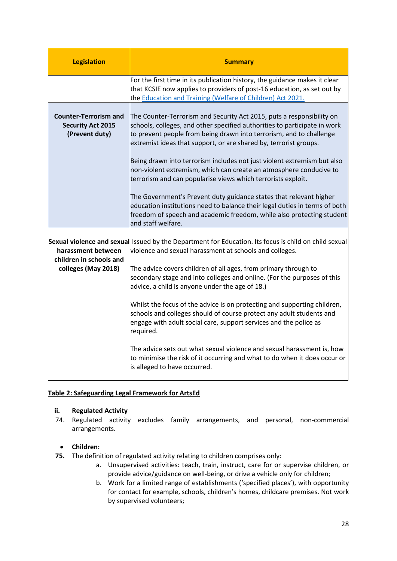| <b>Legislation</b>                                                         | <b>Summary</b>                                                                                                                                                                                                                                                                                                                                                                                                                                                                                                  |
|----------------------------------------------------------------------------|-----------------------------------------------------------------------------------------------------------------------------------------------------------------------------------------------------------------------------------------------------------------------------------------------------------------------------------------------------------------------------------------------------------------------------------------------------------------------------------------------------------------|
|                                                                            | For the first time in its publication history, the guidance makes it clear<br>that KCSIE now applies to providers of post-16 education, as set out by<br>the Education and Training (Welfare of Children) Act 2021.                                                                                                                                                                                                                                                                                             |
| <b>Counter-Terrorism and</b><br><b>Security Act 2015</b><br>(Prevent duty) | The Counter-Terrorism and Security Act 2015, puts a responsibility on<br>schools, colleges, and other specified authorities to participate in work<br>to prevent people from being drawn into terrorism, and to challenge<br>extremist ideas that support, or are shared by, terrorist groups.<br>Being drawn into terrorism includes not just violent extremism but also<br>non-violent extremism, which can create an atmosphere conducive to<br>terrorism and can popularise views which terrorists exploit. |
|                                                                            | The Government's Prevent duty guidance states that relevant higher<br>education institutions need to balance their legal duties in terms of both<br>freedom of speech and academic freedom, while also protecting student<br>and staff welfare.                                                                                                                                                                                                                                                                 |
| harassment between<br>children in schools and<br>colleges (May 2018)       | Sexual violence and sexual Issued by the Department for Education. Its focus is child on child sexual<br>violence and sexual harassment at schools and colleges.<br>The advice covers children of all ages, from primary through to<br>secondary stage and into colleges and online. (For the purposes of this<br>advice, a child is anyone under the age of 18.)                                                                                                                                               |
|                                                                            | Whilst the focus of the advice is on protecting and supporting children,<br>schools and colleges should of course protect any adult students and<br>engage with adult social care, support services and the police as<br>required.                                                                                                                                                                                                                                                                              |
|                                                                            | The advice sets out what sexual violence and sexual harassment is, how<br>to minimise the risk of it occurring and what to do when it does occur or<br>is alleged to have occurred.                                                                                                                                                                                                                                                                                                                             |

## **Table 2: Safeguarding Legal Framework for ArtsEd**

## **ii. Regulated Activity**

74. Regulated activity excludes family arrangements, and personal, non-commercial arrangements.

## • **Children:**

- **75.** The definition of regulated activity relating to children comprises only:
	- a. Unsupervised activities: teach, train, instruct, care for or supervise children, or provide advice/guidance on well-being, or drive a vehicle only for children;
	- b. Work for a limited range of establishments ('specified places'), with opportunity for contact for example, schools, children's homes, childcare premises. Not work by supervised volunteers;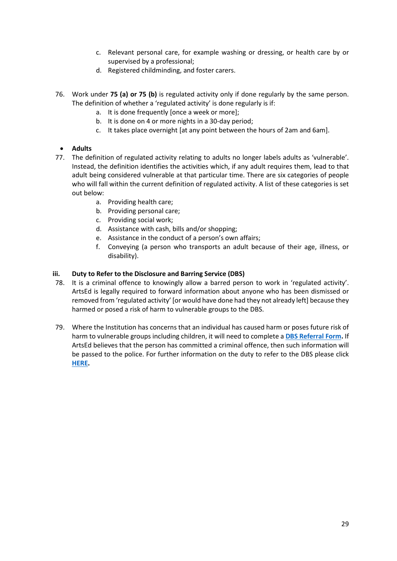- c. Relevant personal care, for example washing or dressing, or health care by or supervised by a professional;
- d. Registered childminding, and foster carers.
- 76. Work under **75 (a) or 75 (b)** is regulated activity only if done regularly by the same person. The definition of whether a 'regulated activity' is done regularly is if:
	- a. It is done frequently [once a week or more];
	- b. It is done on 4 or more nights in a 30-day period;
	- c. It takes place overnight [at any point between the hours of 2am and 6am].

# • **Adults**

- 77. The definition of regulated activity relating to adults no longer labels adults as 'vulnerable'. Instead, the definition identifies the activities which, if any adult requires them, lead to that adult being considered vulnerable at that particular time. There are six categories of people who will fall within the current definition of regulated activity. A list of these categories is set out below:
	- a. Providing health care;
	- b. Providing personal care;
	- c. Providing social work;
	- d. Assistance with cash, bills and/or shopping;
	- e. Assistance in the conduct of a person's own affairs;
	- f. Conveying (a person who transports an adult because of their age, illness, or disability).

## **iii. Duty to Refer to the Disclosure and Barring Service (DBS)**

- 78. It is a criminal offence to knowingly allow a barred person to work in 'regulated activity'. ArtsEd is legally required to forward information about anyone who has been dismissed or removed from 'regulated activity' [or would have done had they not already left] because they harmed or posed a risk of harm to vulnerable groups to the DBS.
- 79. Where the Institution has concerns that an individual has caused harm or poses future risk of harm to vulnerable groups including children, it will need to complete a **[DBS Referral Form.](https://www.gov.uk/government/publications/dbs-referrals-form-and-guidance)** If ArtsEd believes that the person has committed a criminal offence, then such information will be passed to the police. For further information on the duty to refer to the DBS please clic[k](https://www.gov.uk/government/publications/dbs-referrals-form-and-guidance) **[HERE.](https://www.gov.uk/government/publications/dbs-referrals-form-and-guidance)**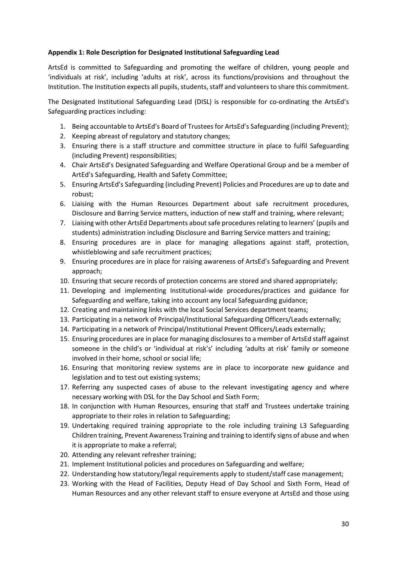## **Appendix 1: Role Description for Designated Institutional Safeguarding Lead**

ArtsEd is committed to Safeguarding and promoting the welfare of children, young people and 'individuals at risk', including 'adults at risk', across its functions/provisions and throughout the Institution. The Institution expects all pupils, students, staff and volunteers to share this commitment.

The Designated Institutional Safeguarding Lead (DISL) is responsible for co-ordinating the ArtsEd's Safeguarding practices including:

- 1. Being accountable to ArtsEd's Board of Trustees for ArtsEd's Safeguarding (including Prevent);
- 2. Keeping abreast of regulatory and statutory changes;
- 3. Ensuring there is a staff structure and committee structure in place to fulfil Safeguarding (including Prevent) responsibilities;
- 4. Chair ArtsEd's Designated Safeguarding and Welfare Operational Group and be a member of ArtEd's Safeguarding, Health and Safety Committee;
- 5. Ensuring ArtsEd's Safeguarding (including Prevent) Policies and Procedures are up to date and robust;
- 6. Liaising with the Human Resources Department about safe recruitment procedures, Disclosure and Barring Service matters, induction of new staff and training, where relevant;
- 7. Liaising with other ArtsEd Departments about safe procedures relating to learners' (pupils and students) administration including Disclosure and Barring Service matters and training;
- 8. Ensuring procedures are in place for managing allegations against staff, protection, whistleblowing and safe recruitment practices;
- 9. Ensuring procedures are in place for raising awareness of ArtsEd's Safeguarding and Prevent approach;
- 10. Ensuring that secure records of protection concerns are stored and shared appropriately;
- 11. Developing and implementing Institutional-wide procedures/practices and guidance for Safeguarding and welfare, taking into account any local Safeguarding guidance;
- 12. Creating and maintaining links with the local Social Services department teams;
- 13. Participating in a network of Principal/Institutional Safeguarding Officers/Leads externally;
- 14. Participating in a network of Principal/Institutional Prevent Officers/Leads externally;
- 15. Ensuring procedures are in place for managing disclosures to a member of ArtsEd staff against someone in the child's or 'individual at risk's' including 'adults at risk' family or someone involved in their home, school or social life;
- 16. Ensuring that monitoring review systems are in place to incorporate new guidance and legislation and to test out existing systems;
- 17. Referring any suspected cases of abuse to the relevant investigating agency and where necessary working with DSL for the Day School and Sixth Form;
- 18. In conjunction with Human Resources, ensuring that staff and Trustees undertake training appropriate to their roles in relation to Safeguarding;
- 19. Undertaking required training appropriate to the role including training L3 Safeguarding Children training, Prevent Awareness Training and training to identify signs of abuse and when it is appropriate to make a referral;
- 20. Attending any relevant refresher training;
- 21. Implement Institutional policies and procedures on Safeguarding and welfare;
- 22. Understanding how statutory/legal requirements apply to student/staff case management;
- 23. Working with the Head of Facilities, Deputy Head of Day School and Sixth Form, Head of Human Resources and any other relevant staff to ensure everyone at ArtsEd and those using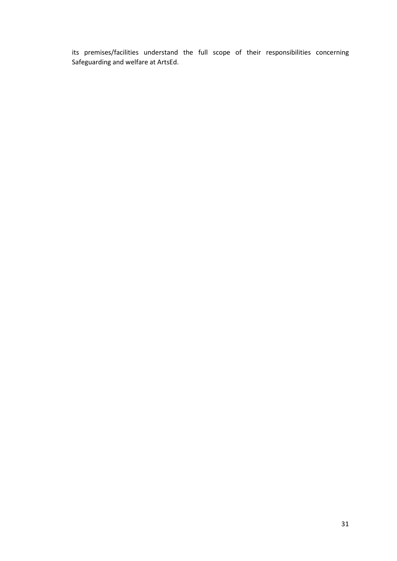its premises/facilities understand the full scope of their responsibilities concerning Safeguarding and welfare at ArtsEd.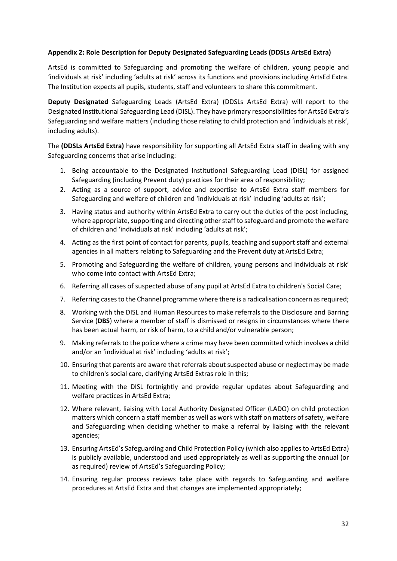## **Appendix 2: Role Description for Deputy Designated Safeguarding Leads (DDSLs ArtsEd Extra)**

ArtsEd is committed to Safeguarding and promoting the welfare of children, young people and 'individuals at risk' including 'adults at risk' across its functions and provisions including ArtsEd Extra. The Institution expects all pupils, students, staff and volunteers to share this commitment.

**Deputy Designated** Safeguarding Leads (ArtsEd Extra) (DDSLs ArtsEd Extra) will report to the Designated Institutional Safeguarding Lead (DISL). They have primary responsibilities for ArtsEd Extra's Safeguarding and welfare matters (including those relating to child protection and 'individuals at risk', including adults).

The **(DDSLs ArtsEd Extra)** have responsibility for supporting all ArtsEd Extra staff in dealing with any Safeguarding concerns that arise including:

- 1. Being accountable to the Designated Institutional Safeguarding Lead (DISL) for assigned Safeguarding (including Prevent duty) practices for their area of responsibility;
- 2. Acting as a source of support, advice and expertise to ArtsEd Extra staff members for Safeguarding and welfare of children and 'individuals at risk' including 'adults at risk';
- 3. Having status and authority within ArtsEd Extra to carry out the duties of the post including, where appropriate, supporting and directing other staff to safeguard and promote the welfare of children and 'individuals at risk' including 'adults at risk';
- 4. Acting as the first point of contact for parents, pupils, teaching and support staff and external agencies in all matters relating to Safeguarding and the Prevent duty at ArtsEd Extra;
- 5. Promoting and Safeguarding the welfare of children, young persons and individuals at risk' who come into contact with ArtsEd Extra;
- 6. Referring all cases of suspected abuse of any pupil at ArtsEd Extra to children's Social Care;
- 7. Referring cases to the Channel programme where there is a radicalisation concern as required;
- 8. Working with the DISL and Human Resources to make referrals to the Disclosure and Barring Service (**DBS**) where a member of staff is dismissed or resigns in circumstances where there has been actual harm, or risk of harm, to a child and/or vulnerable person;
- 9. Making referrals to the police where a crime may have been committed which involves a child and/or an 'individual at risk' including 'adults at risk';
- 10. Ensuring that parents are aware that referrals about suspected abuse or neglect may be made to children's social care, clarifying ArtsEd Extras role in this;
- 11. Meeting with the DISL fortnightly and provide regular updates about Safeguarding and welfare practices in ArtsEd Extra;
- 12. Where relevant, liaising with Local Authority Designated Officer (LADO) on child protection matters which concern a staff member as well as work with staff on matters of safety, welfare and Safeguarding when deciding whether to make a referral by liaising with the relevant agencies;
- 13. Ensuring ArtsEd's Safeguarding and Child Protection Policy (which also applies to ArtsEd Extra) is publicly available, understood and used appropriately as well as supporting the annual (or as required) review of ArtsEd's Safeguarding Policy;
- 14. Ensuring regular process reviews take place with regards to Safeguarding and welfare procedures at ArtsEd Extra and that changes are implemented appropriately;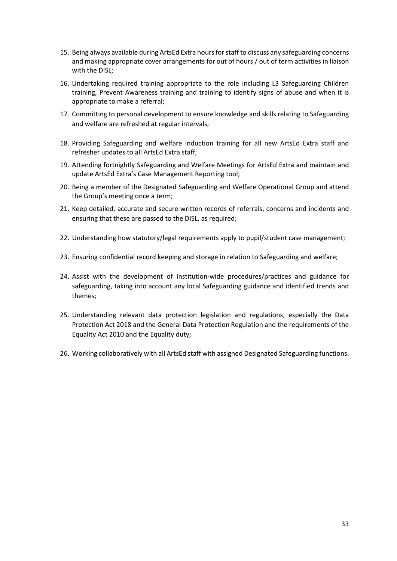- 15. Being always available during ArtsEd Extra hours for staff to discuss any safeguarding concerns and making appropriate cover arrangements for out of hours / out of term activities in liaison with the DISL;
- 16. Undertaking required training appropriate to the role including L3 Safeguarding Children training, Prevent Awareness training and training to identify signs of abuse and when it is appropriate to make a referral;
- 17. Committing to personal development to ensure knowledge and skills relating to Safeguarding and welfare are refreshed at regular intervals;
- 18. Providing Safeguarding and welfare induction training for all new ArtsEd Extra staff and refresher updates to all ArtsEd Extra staff;
- 19. Attending fortnightly Safeguarding and Welfare Meetings for ArtsEd Extra and maintain and update ArtsEd Extra's Case Management Reporting tool;
- 20. Being a member of the Designated Safeguarding and Welfare Operational Group and attend the Group's meeting once a term;
- 21. Keep detailed, accurate and secure written records of referrals, concerns and incidents and ensuring that these are passed to the DISL, as required;
- 22. Understanding how statutory/legal requirements apply to pupil/student case management;
- 23. Ensuring confidential record keeping and storage in relation to Safeguarding and welfare;
- 24. Assist with the development of Institution-wide procedures/practices and guidance for safeguarding, taking into account any local Safeguarding guidance and identified trends and themes;
- 25. Understanding relevant data protection legislation and regulations, especially the Data Protection Act 2018 and the General Data Protection Regulation and the requirements of the Equality Act 2010 and the Equality duty;
- 26. Working collaboratively with all ArtsEd staff with assigned Designated Safeguarding functions.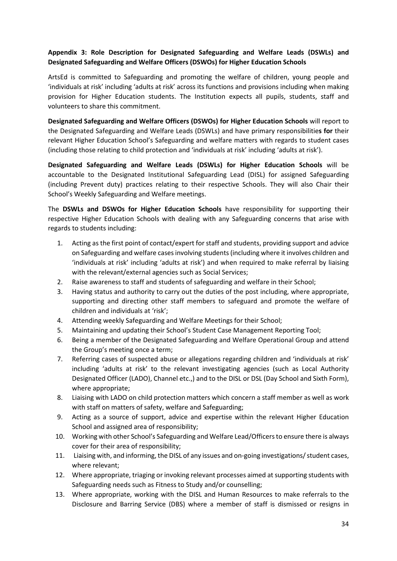# **Appendix 3: Role Description for Designated Safeguarding and Welfare Leads (DSWLs) and Designated Safeguarding and Welfare Officers (DSWOs) for Higher Education Schools**

ArtsEd is committed to Safeguarding and promoting the welfare of children, young people and 'individuals at risk' including 'adults at risk' across its functions and provisions including when making provision for Higher Education students. The Institution expects all pupils, students, staff and volunteers to share this commitment.

**Designated Safeguarding and Welfare Officers (DSWOs) for Higher Education Schools** will report to the Designated Safeguarding and Welfare Leads (DSWLs) and have primary responsibilitie**s for** their relevant Higher Education School's Safeguarding and welfare matters with regards to student cases (including those relating to child protection and 'individuals at risk' including 'adults at risk').

**Designated Safeguarding and Welfare Leads (DSWLs) for Higher Education Schools** will be accountable to the Designated Institutional Safeguarding Lead (DISL) for assigned Safeguarding (including Prevent duty) practices relating to their respective Schools. They will also Chair their School's Weekly Safeguarding and Welfare meetings.

The **DSWLs and DSWOs for Higher Education Schools** have responsibility for supporting their respective Higher Education Schools with dealing with any Safeguarding concerns that arise with regards to students including:

- 1. Acting as the first point of contact/expert for staff and students, providing support and advice on Safeguarding and welfare cases involving students (including where it involves children and 'individuals at risk' including 'adults at risk') and when required to make referral by liaising with the relevant/external agencies such as Social Services;
- 2. Raise awareness to staff and students of safeguarding and welfare in their School;
- 3. Having status and authority to carry out the duties of the post including, where appropriate, supporting and directing other staff members to safeguard and promote the welfare of children and individuals at 'risk';
- 4. Attending weekly Safeguarding and Welfare Meetings for their School;
- 5. Maintaining and updating their School's Student Case Management Reporting Tool;
- 6. Being a member of the Designated Safeguarding and Welfare Operational Group and attend the Group's meeting once a term;
- 7. Referring cases of suspected abuse or allegations regarding children and 'individuals at risk' including 'adults at risk' to the relevant investigating agencies (such as Local Authority Designated Officer (LADO), Channel etc.,) and to the DISL or DSL (Day School and Sixth Form), where appropriate;
- 8. Liaising with LADO on child protection matters which concern a staff member as well as work with staff on matters of safety, welfare and Safeguarding;
- 9. Acting as a source of support, advice and expertise within the relevant Higher Education School and assigned area of responsibility;
- 10. Working with other School's Safeguarding and Welfare Lead/Officers to ensure there is always cover for their area of responsibility;
- 11. Liaising with, and informing, the DISL of any issues and on-going investigations/ student cases, where relevant;
- 12. Where appropriate, triaging or invoking relevant processes aimed at supporting students with Safeguarding needs such as Fitness to Study and/or counselling;
- 13. Where appropriate, working with the DISL and Human Resources to make referrals to the Disclosure and Barring Service (DBS) where a member of staff is dismissed or resigns in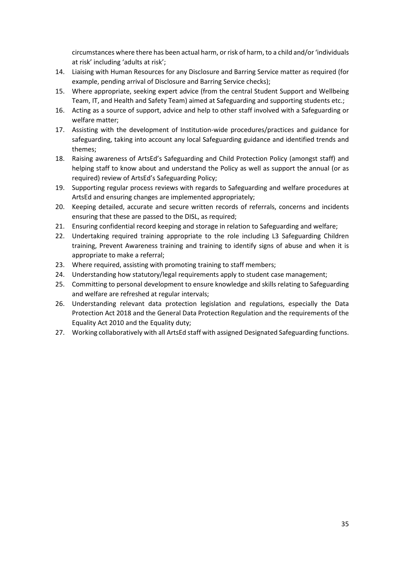circumstances where there has been actual harm, or risk of harm, to a child and/or 'individuals at risk' including 'adults at risk';

- 14. Liaising with Human Resources for any Disclosure and Barring Service matter as required (for example, pending arrival of Disclosure and Barring Service checks);
- 15. Where appropriate, seeking expert advice (from the central Student Support and Wellbeing Team, IT, and Health and Safety Team) aimed at Safeguarding and supporting students etc.;
- 16. Acting as a source of support, advice and help to other staff involved with a Safeguarding or welfare matter;
- 17. Assisting with the development of Institution-wide procedures/practices and guidance for safeguarding, taking into account any local Safeguarding guidance and identified trends and themes;
- 18. Raising awareness of ArtsEd's Safeguarding and Child Protection Policy (amongst staff) and helping staff to know about and understand the Policy as well as support the annual (or as required) review of ArtsEd's Safeguarding Policy;
- 19. Supporting regular process reviews with regards to Safeguarding and welfare procedures at ArtsEd and ensuring changes are implemented appropriately;
- 20. Keeping detailed, accurate and secure written records of referrals, concerns and incidents ensuring that these are passed to the DISL, as required;
- 21. Ensuring confidential record keeping and storage in relation to Safeguarding and welfare;
- 22. Undertaking required training appropriate to the role including L3 Safeguarding Children training, Prevent Awareness training and training to identify signs of abuse and when it is appropriate to make a referral;
- 23. Where required, assisting with promoting training to staff members;
- 24. Understanding how statutory/legal requirements apply to student case management;
- 25. Committing to personal development to ensure knowledge and skills relating to Safeguarding and welfare are refreshed at regular intervals;
- 26. Understanding relevant data protection legislation and regulations, especially the Data Protection Act 2018 and the General Data Protection Regulation and the requirements of the Equality Act 2010 and the Equality duty;
- 27. Working collaboratively with all ArtsEd staff with assigned Designated Safeguarding functions.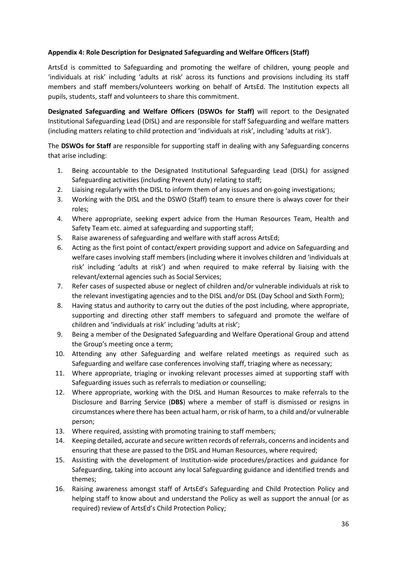## **Appendix 4: Role Description for Designated Safeguarding and Welfare Officers (Staff)**

ArtsEd is committed to Safeguarding and promoting the welfare of children, young people and 'individuals at risk' including 'adults at risk' across its functions and provisions including its staff members and staff members/volunteers working on behalf of ArtsEd. The Institution expects all pupils, students, staff and volunteers to share this commitment.

**Designated Safeguarding and Welfare Officers (DSWOs for Staff)** will report to the Designated Institutional Safeguarding Lead (DISL) and are responsible for staff Safeguarding and welfare matters (including matters relating to child protection and 'individuals at risk', including 'adults at risk').

The **DSWOs for Staff** are responsible for supporting staff in dealing with any Safeguarding concerns that arise including:

- 1. Being accountable to the Designated Institutional Safeguarding Lead (DISL) for assigned Safeguarding activities (including Prevent duty) relating to staff;
- 2. Liaising regularly with the DISL to inform them of any issues and on-going investigations;
- 3. Working with the DISL and the DSWO (Staff) team to ensure there is always cover for their roles;
- 4. Where appropriate, seeking expert advice from the Human Resources Team, Health and Safety Team etc. aimed at safeguarding and supporting staff;
- 5. Raise awareness of safeguarding and welfare with staff across ArtsEd;
- 6. Acting as the first point of contact/expert providing support and advice on Safeguarding and welfare cases involving staff members (including where it involves children and 'individuals at risk' including 'adults at risk') and when required to make referral by liaising with the relevant/external agencies such as Social Services;
- 7. Refer cases of suspected abuse or neglect of children and/or vulnerable individuals at risk to the relevant investigating agencies and to the DISL and/or DSL (Day School and Sixth Form);
- 8. Having status and authority to carry out the duties of the post including, where appropriate, supporting and directing other staff members to safeguard and promote the welfare of children and 'individuals at risk' including 'adults at risk';
- 9. Being a member of the Designated Safeguarding and Welfare Operational Group and attend the Group's meeting once a term;
- 10. Attending any other Safeguarding and welfare related meetings as required such as Safeguarding and welfare case conferences involving staff, triaging where as necessary;
- 11. Where appropriate, triaging or invoking relevant processes aimed at supporting staff with Safeguarding issues such as referrals to mediation or counselling;
- 12. Where appropriate, working with the DISL and Human Resources to make referrals to the Disclosure and Barring Service (**DBS**) where a member of staff is dismissed or resigns in circumstances where there has been actual harm, or risk of harm, to a child and/or vulnerable person;
- 13. Where required, assisting with promoting training to staff members;
- 14. Keeping detailed, accurate and secure written records of referrals, concerns and incidents and ensuring that these are passed to the DISL and Human Resources, where required;
- 15. Assisting with the development of Institution-wide procedures/practices and guidance for Safeguarding, taking into account any local Safeguarding guidance and identified trends and themes;
- 16. Raising awareness amongst staff of ArtsEd's Safeguarding and Child Protection Policy and helping staff to know about and understand the Policy as well as support the annual (or as required) review of ArtsEd's Child Protection Policy;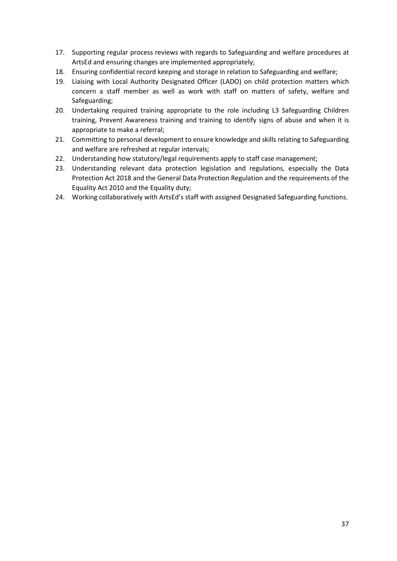- 17. Supporting regular process reviews with regards to Safeguarding and welfare procedures at ArtsEd and ensuring changes are implemented appropriately;
- 18. Ensuring confidential record keeping and storage in relation to Safeguarding and welfare;
- 19. Liaising with Local Authority Designated Officer (LADO) on child protection matters which concern a staff member as well as work with staff on matters of safety, welfare and Safeguarding;
- 20. Undertaking required training appropriate to the role including L3 Safeguarding Children training, Prevent Awareness training and training to identify signs of abuse and when it is appropriate to make a referral;
- 21. Committing to personal development to ensure knowledge and skills relating to Safeguarding and welfare are refreshed at regular intervals;
- 22. Understanding how statutory/legal requirements apply to staff case management;
- 23. Understanding relevant data protection legislation and regulations, especially the Data Protection Act 2018 and the General Data Protection Regulation and the requirements of the Equality Act 2010 and the Equality duty;
- 24. Working collaboratively with ArtsEd's staff with assigned Designated Safeguarding functions.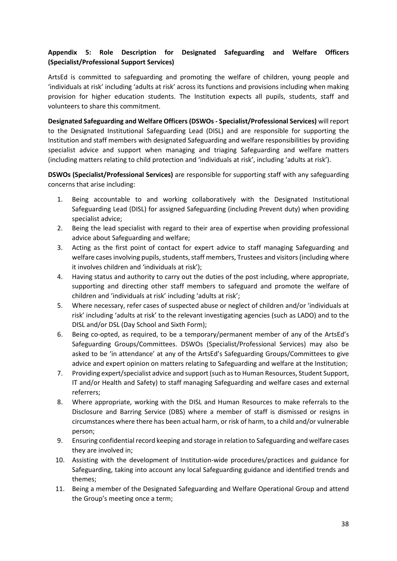# **Appendix 5: Role Description for Designated Safeguarding and Welfare Officers (Specialist/Professional Support Services)**

ArtsEd is committed to safeguarding and promoting the welfare of children, young people and 'individuals at risk' including 'adults at risk' across its functions and provisions including when making provision for higher education students. The Institution expects all pupils, students, staff and volunteers to share this commitment.

**Designated Safeguarding and Welfare Officers (DSWOs - Specialist/Professional Services)** will report to the Designated Institutional Safeguarding Lead (DISL) and are responsible for supporting the Institution and staff members with designated Safeguarding and welfare responsibilities by providing specialist advice and support when managing and triaging Safeguarding and welfare matters (including matters relating to child protection and 'individuals at risk', including 'adults at risk').

**DSWOs (Specialist/Professional Services)** are responsible for supporting staff with any safeguarding concerns that arise including:

- 1. Being accountable to and working collaboratively with the Designated Institutional Safeguarding Lead (DISL) for assigned Safeguarding (including Prevent duty) when providing specialist advice;
- 2. Being the lead specialist with regard to their area of expertise when providing professional advice about Safeguarding and welfare;
- 3. Acting as the first point of contact for expert advice to staff managing Safeguarding and welfare cases involving pupils, students, staff members, Trustees and visitors (including where it involves children and 'individuals at risk');
- 4. Having status and authority to carry out the duties of the post including, where appropriate, supporting and directing other staff members to safeguard and promote the welfare of children and 'individuals at risk' including 'adults at risk';
- 5. Where necessary, refer cases of suspected abuse or neglect of children and/or 'individuals at risk' including 'adults at risk' to the relevant investigating agencies (such as LADO) and to the DISL and/or DSL (Day School and Sixth Form);
- 6. Being co-opted, as required, to be a temporary/permanent member of any of the ArtsEd's Safeguarding Groups/Committees. DSWOs (Specialist/Professional Services) may also be asked to be 'in attendance' at any of the ArtsEd's Safeguarding Groups/Committees to give advice and expert opinion on matters relating to Safeguarding and welfare at the Institution;
- 7. Providing expert/specialist advice and support (such asto Human Resources, Student Support, IT and/or Health and Safety) to staff managing Safeguarding and welfare cases and external referrers;
- 8. Where appropriate, working with the DISL and Human Resources to make referrals to the Disclosure and Barring Service (DBS) where a member of staff is dismissed or resigns in circumstances where there has been actual harm, or risk of harm, to a child and/or vulnerable person;
- 9. Ensuring confidential record keeping and storage in relation to Safeguarding and welfare cases they are involved in;
- 10. Assisting with the development of Institution-wide procedures/practices and guidance for Safeguarding, taking into account any local Safeguarding guidance and identified trends and themes;
- 11. Being a member of the Designated Safeguarding and Welfare Operational Group and attend the Group's meeting once a term;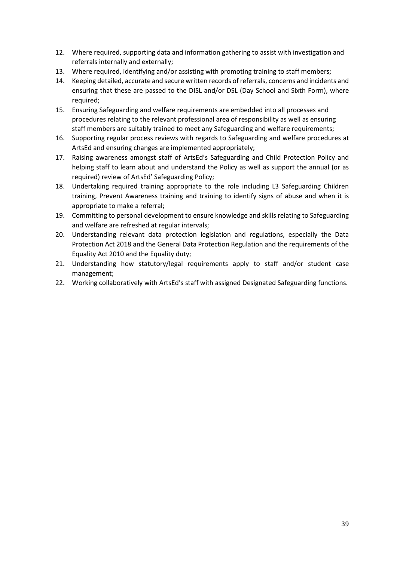- 12. Where required, supporting data and information gathering to assist with investigation and referrals internally and externally;
- 13. Where required, identifying and/or assisting with promoting training to staff members;
- 14. Keeping detailed, accurate and secure written records of referrals, concerns and incidents and ensuring that these are passed to the DISL and/or DSL (Day School and Sixth Form), where required;
- 15. Ensuring Safeguarding and welfare requirements are embedded into all processes and procedures relating to the relevant professional area of responsibility as well as ensuring staff members are suitably trained to meet any Safeguarding and welfare requirements;
- 16. Supporting regular process reviews with regards to Safeguarding and welfare procedures at ArtsEd and ensuring changes are implemented appropriately;
- 17. Raising awareness amongst staff of ArtsEd's Safeguarding and Child Protection Policy and helping staff to learn about and understand the Policy as well as support the annual (or as required) review of ArtsEd' Safeguarding Policy;
- 18. Undertaking required training appropriate to the role including L3 Safeguarding Children training, Prevent Awareness training and training to identify signs of abuse and when it is appropriate to make a referral;
- 19. Committing to personal development to ensure knowledge and skills relating to Safeguarding and welfare are refreshed at regular intervals;
- 20. Understanding relevant data protection legislation and regulations, especially the Data Protection Act 2018 and the General Data Protection Regulation and the requirements of the Equality Act 2010 and the Equality duty;
- 21. Understanding how statutory/legal requirements apply to staff and/or student case management;
- 22. Working collaboratively with ArtsEd's staff with assigned Designated Safeguarding functions.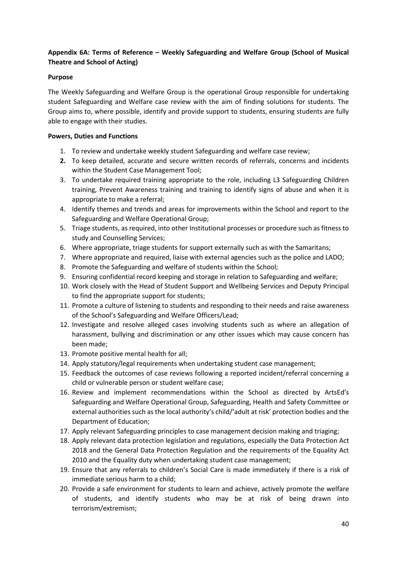# **Appendix 6A: Terms of Reference – Weekly Safeguarding and Welfare Group (School of Musical Theatre and School of Acting)**

## **Purpose**

The Weekly Safeguarding and Welfare Group is the operational Group responsible for undertaking student Safeguarding and Welfare case review with the aim of finding solutions for students. The Group aims to, where possible, identify and provide support to students, ensuring students are fully able to engage with their studies.

## **Powers, Duties and Functions**

- 1. To review and undertake weekly student Safeguarding and welfare case review;
- **2.** To keep detailed, accurate and secure written records of referrals, concerns and incidents within the Student Case Management Tool;
- 3. To undertake required training appropriate to the role, including L3 Safeguarding Children training, Prevent Awareness training and training to identify signs of abuse and when it is appropriate to make a referral;
- 4. Identify themes and trends and areas for improvements within the School and report to the Safeguarding and Welfare Operational Group;
- 5. Triage students, as required, into other Institutional processes or procedure such as fitness to study and Counselling Services;
- 6. Where appropriate, triage students for support externally such as with the Samaritans;
- 7. Where appropriate and required, liaise with external agencies such as the police and LADO;
- 8. Promote the Safeguarding and welfare of students within the School;
- 9. Ensuring confidential record keeping and storage in relation to Safeguarding and welfare;
- 10. Work closely with the Head of Student Support and Wellbeing Services and Deputy Principal to find the appropriate support for students;
- 11. Promote a culture of listening to students and responding to their needs and raise awareness of the School's Safeguarding and Welfare Officers/Lead;
- 12. Investigate and resolve alleged cases involving students such as where an allegation of harassment, bullying and discrimination or any other issues which may cause concern has been made;
- 13. Promote positive mental health for all;
- 14. Apply statutory/legal requirements when undertaking student case management;
- 15. Feedback the outcomes of case reviews following a reported incident/referral concerning a child or vulnerable person or student welfare case;
- 16. Review and implement recommendations within the School as directed by ArtsEd's Safeguarding and Welfare Operational Group, Safeguarding, Health and Safety Committee or external authorities such as the local authority's child/'adult at risk' protection bodies and the Department of Education;
- 17. Apply relevant Safeguarding principles to case management decision making and triaging;
- 18. Apply relevant data protection legislation and regulations, especially the Data Protection Act 2018 and the General Data Protection Regulation and the requirements of the Equality Act 2010 and the Equality duty when undertaking student case management;
- 19. Ensure that any referrals to children's Social Care is made immediately if there is a risk of immediate serious harm to a child;
- 20. Provide a safe environment for students to learn and achieve, actively promote the welfare of students, and identify students who may be at risk of being drawn into terrorism/extremism;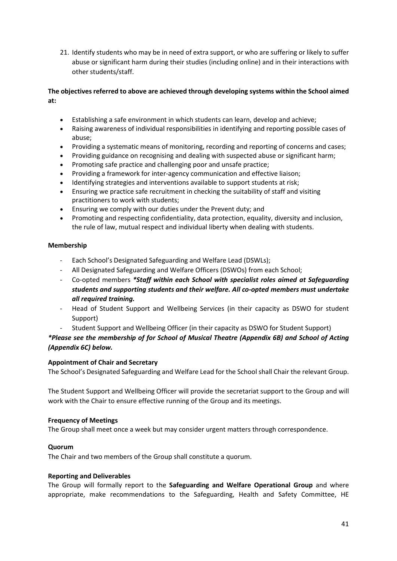21. Identify students who may be in need of extra support, or who are suffering or likely to suffer abuse or significant harm during their studies (including online) and in their interactions with other students/staff.

# **The objectives referred to above are achieved through developing systems within the School aimed at:**

- Establishing a safe environment in which students can learn, develop and achieve;
- Raising awareness of individual responsibilities in identifying and reporting possible cases of abuse;
- Providing a systematic means of monitoring, recording and reporting of concerns and cases;
- Providing guidance on recognising and dealing with suspected abuse or significant harm;
- Promoting safe practice and challenging poor and unsafe practice;
- Providing a framework for inter-agency communication and effective liaison;
- Identifying strategies and interventions available to support students at risk;
- Ensuring we practice safe recruitment in checking the suitability of staff and visiting practitioners to work with students;
- Ensuring we comply with our duties under the Prevent duty; and
- Promoting and respecting confidentiality, data protection, equality, diversity and inclusion, the rule of law, mutual respect and individual liberty when dealing with students.

## **Membership**

- Each School's Designated Safeguarding and Welfare Lead (DSWLs);
- All Designated Safeguarding and Welfare Officers (DSWOs) from each School;
- Co-opted members *\*Staff within each School with specialist roles aimed at Safeguarding students and supporting students and their welfare. All co-opted members must undertake all required training.*
- Head of Student Support and Wellbeing Services (in their capacity as DSWO for student Support)
	- Student Support and Wellbeing Officer (in their capacity as DSWO for Student Support)

*\*Please see the membership of for School of Musical Theatre (Appendix 6B) and School of Acting (Appendix 6C) below.* 

## **Appointment of Chair and Secretary**

The School's Designated Safeguarding and Welfare Lead for the School shall Chair the relevant Group.

The Student Support and Wellbeing Officer will provide the secretariat support to the Group and will work with the Chair to ensure effective running of the Group and its meetings.

#### **Frequency of Meetings**

The Group shall meet once a week but may consider urgent matters through correspondence.

#### **Quorum**

The Chair and two members of the Group shall constitute a quorum.

#### **Reporting and Deliverables**

The Group will formally report to the **Safeguarding and Welfare Operational Group** and where appropriate, make recommendations to the Safeguarding, Health and Safety Committee, HE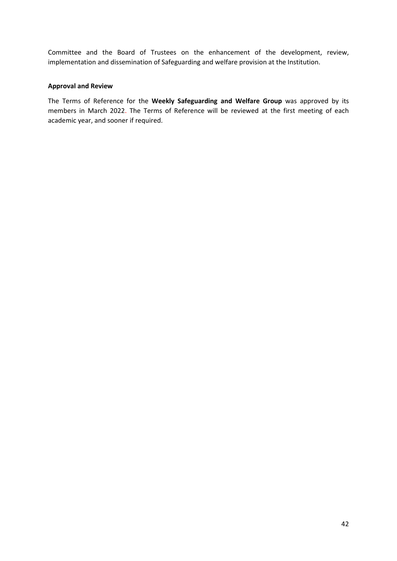Committee and the Board of Trustees on the enhancement of the development, review, implementation and dissemination of Safeguarding and welfare provision at the Institution.

#### **Approval and Review**

The Terms of Reference for the **Weekly Safeguarding and Welfare Group** was approved by its members in March 2022. The Terms of Reference will be reviewed at the first meeting of each academic year, and sooner if required.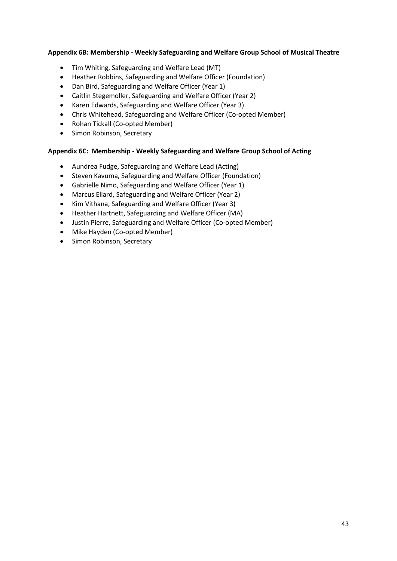## **Appendix 6B: Membership - Weekly Safeguarding and Welfare Group School of Musical Theatre**

- Tim Whiting, Safeguarding and Welfare Lead (MT)
- Heather Robbins, Safeguarding and Welfare Officer (Foundation)
- Dan Bird, Safeguarding and Welfare Officer (Year 1)
- Caitlin Stegemoller, Safeguarding and Welfare Officer (Year 2)
- Karen Edwards, Safeguarding and Welfare Officer (Year 3)
- Chris Whitehead, Safeguarding and Welfare Officer (Co-opted Member)
- Rohan Tickall (Co-opted Member)
- Simon Robinson, Secretary

## **Appendix 6C: Membership - Weekly Safeguarding and Welfare Group School of Acting**

- Aundrea Fudge, Safeguarding and Welfare Lead (Acting)
- Steven Kavuma, Safeguarding and Welfare Officer (Foundation)
- Gabrielle Nimo, Safeguarding and Welfare Officer (Year 1)
- Marcus Ellard, Safeguarding and Welfare Officer (Year 2)
- Kim Vithana, Safeguarding and Welfare Officer (Year 3)
- Heather Hartnett, Safeguarding and Welfare Officer (MA)
- Justin Pierre, Safeguarding and Welfare Officer (Co-opted Member)
- Mike Hayden (Co-opted Member)
- Simon Robinson, Secretary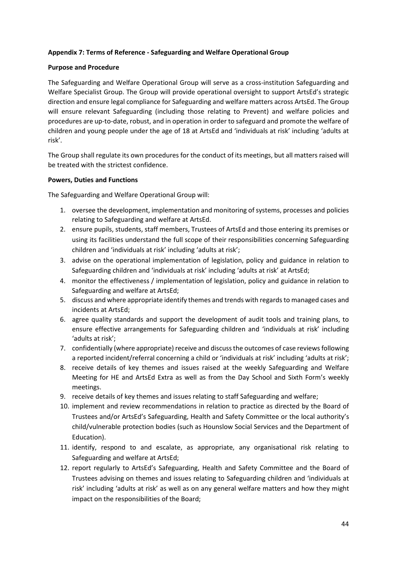## **Appendix 7: Terms of Reference - Safeguarding and Welfare Operational Group**

#### **Purpose and Procedure**

The Safeguarding and Welfare Operational Group will serve as a cross-institution Safeguarding and Welfare Specialist Group. The Group will provide operational oversight to support ArtsEd's strategic direction and ensure legal compliance for Safeguarding and welfare matters across ArtsEd. The Group will ensure relevant Safeguarding (including those relating to Prevent) and welfare policies and procedures are up-to-date, robust, and in operation in order to safeguard and promote the welfare of children and young people under the age of 18 at ArtsEd and 'individuals at risk' including 'adults at risk'.

The Group shall regulate its own procedures for the conduct of its meetings, but all matters raised will be treated with the strictest confidence.

## **Powers, Duties and Functions**

The Safeguarding and Welfare Operational Group will:

- 1. oversee the development, implementation and monitoring of systems, processes and policies relating to Safeguarding and welfare at ArtsEd.
- 2. ensure pupils, students, staff members, Trustees of ArtsEd and those entering its premises or using its facilities understand the full scope of their responsibilities concerning Safeguarding children and 'individuals at risk' including 'adults at risk';
- 3. advise on the operational implementation of legislation, policy and guidance in relation to Safeguarding children and 'individuals at risk' including 'adults at risk' at ArtsEd;
- 4. monitor the effectiveness / implementation of legislation, policy and guidance in relation to Safeguarding and welfare at ArtsEd;
- 5. discuss and where appropriate identify themes and trends with regards to managed cases and incidents at ArtsEd;
- 6. agree quality standards and support the development of audit tools and training plans, to ensure effective arrangements for Safeguarding children and 'individuals at risk' including 'adults at risk';
- 7. confidentially (where appropriate) receive and discussthe outcomes of case reviews following a reported incident/referral concerning a child or 'individuals at risk' including 'adults at risk';
- 8. receive details of key themes and issues raised at the weekly Safeguarding and Welfare Meeting for HE and ArtsEd Extra as well as from the Day School and Sixth Form's weekly meetings.
- 9. receive details of key themes and issues relating to staff Safeguarding and welfare;
- 10. implement and review recommendations in relation to practice as directed by the Board of Trustees and/or ArtsEd's Safeguarding, Health and Safety Committee or the local authority's child/vulnerable protection bodies (such as Hounslow Social Services and the Department of Education).
- 11. identify, respond to and escalate, as appropriate, any organisational risk relating to Safeguarding and welfare at ArtsEd;
- 12. report regularly to ArtsEd's Safeguarding, Health and Safety Committee and the Board of Trustees advising on themes and issues relating to Safeguarding children and 'individuals at risk' including 'adults at risk' as well as on any general welfare matters and how they might impact on the responsibilities of the Board;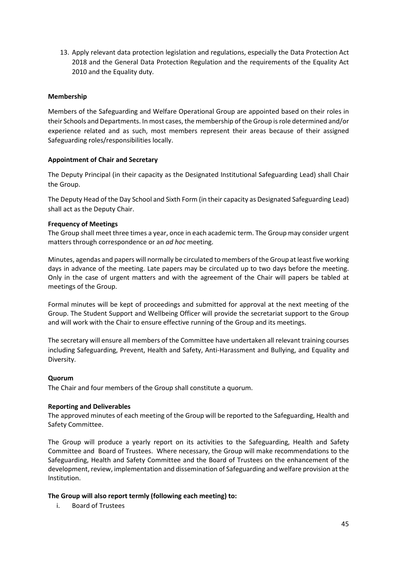13. Apply relevant data protection legislation and regulations, especially the Data Protection Act 2018 and the General Data Protection Regulation and the requirements of the Equality Act 2010 and the Equality duty.

## **Membership**

Members of the Safeguarding and Welfare Operational Group are appointed based on their roles in their Schools and Departments. In most cases, the membership of the Group is role determined and/or experience related and as such, most members represent their areas because of their assigned Safeguarding roles/responsibilities locally.

## **Appointment of Chair and Secretary**

The Deputy Principal (in their capacity as the Designated Institutional Safeguarding Lead) shall Chair the Group.

The Deputy Head of the Day School and Sixth Form (in their capacity as Designated Safeguarding Lead) shall act as the Deputy Chair.

## **Frequency of Meetings**

The Group shall meet three times a year, once in each academic term. The Group may consider urgent matters through correspondence or an *ad hoc* meeting.

Minutes, agendas and papers will normally be circulated to members of the Group at least five working days in advance of the meeting. Late papers may be circulated up to two days before the meeting. Only in the case of urgent matters and with the agreement of the Chair will papers be tabled at meetings of the Group.

Formal minutes will be kept of proceedings and submitted for approval at the next meeting of the Group. The Student Support and Wellbeing Officer will provide the secretariat support to the Group and will work with the Chair to ensure effective running of the Group and its meetings.

The secretary will ensure all members of the Committee have undertaken all relevant training courses including Safeguarding, Prevent, Health and Safety, Anti-Harassment and Bullying, and Equality and Diversity.

#### **Quorum**

The Chair and four members of the Group shall constitute a quorum.

#### **Reporting and Deliverables**

The approved minutes of each meeting of the Group will be reported to the Safeguarding, Health and Safety Committee.

The Group will produce a yearly report on its activities to the Safeguarding, Health and Safety Committee and Board of Trustees. Where necessary, the Group will make recommendations to the Safeguarding, Health and Safety Committee and the Board of Trustees on the enhancement of the development, review, implementation and dissemination of Safeguarding and welfare provision at the Institution.

#### **The Group will also report termly (following each meeting) to:**

i. Board of Trustees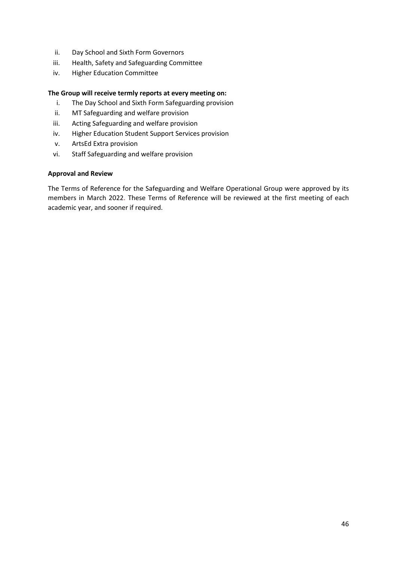- ii. Day School and Sixth Form Governors
- iii. Health, Safety and Safeguarding Committee
- iv. Higher Education Committee

#### **The Group will receive termly reports at every meeting on:**

- i. The Day School and Sixth Form Safeguarding provision
- ii. MT Safeguarding and welfare provision
- iii. Acting Safeguarding and welfare provision
- iv. Higher Education Student Support Services provision
- v. ArtsEd Extra provision
- vi. Staff Safeguarding and welfare provision

## **Approval and Review**

The Terms of Reference for the Safeguarding and Welfare Operational Group were approved by its members in March 2022. These Terms of Reference will be reviewed at the first meeting of each academic year, and sooner if required.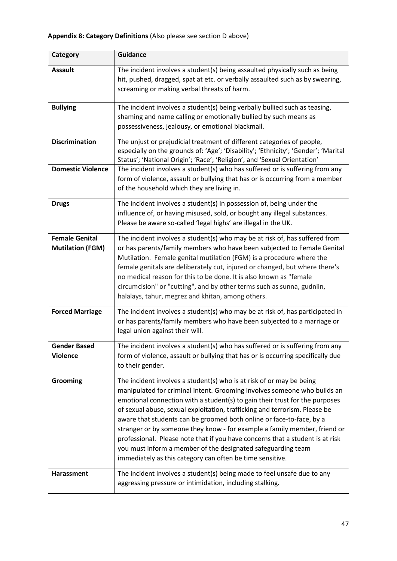| Category                                         | <b>Guidance</b>                                                                                                                                                                                                                                                                                                                                                                                                                                                                                                                                                                                                                                                                  |
|--------------------------------------------------|----------------------------------------------------------------------------------------------------------------------------------------------------------------------------------------------------------------------------------------------------------------------------------------------------------------------------------------------------------------------------------------------------------------------------------------------------------------------------------------------------------------------------------------------------------------------------------------------------------------------------------------------------------------------------------|
| <b>Assault</b>                                   | The incident involves a student(s) being assaulted physically such as being<br>hit, pushed, dragged, spat at etc. or verbally assaulted such as by swearing,<br>screaming or making verbal threats of harm.                                                                                                                                                                                                                                                                                                                                                                                                                                                                      |
| <b>Bullying</b>                                  | The incident involves a student(s) being verbally bullied such as teasing,<br>shaming and name calling or emotionally bullied by such means as<br>possessiveness, jealousy, or emotional blackmail.                                                                                                                                                                                                                                                                                                                                                                                                                                                                              |
| <b>Discrimination</b>                            | The unjust or prejudicial treatment of different categories of people,<br>especially on the grounds of: 'Age'; 'Disability'; 'Ethnicity'; 'Gender'; 'Marital<br>Status'; 'National Origin'; 'Race'; 'Religion', and 'Sexual Orientation'                                                                                                                                                                                                                                                                                                                                                                                                                                         |
| <b>Domestic Violence</b>                         | The incident involves a student(s) who has suffered or is suffering from any<br>form of violence, assault or bullying that has or is occurring from a member<br>of the household which they are living in.                                                                                                                                                                                                                                                                                                                                                                                                                                                                       |
| <b>Drugs</b>                                     | The incident involves a student(s) in possession of, being under the<br>influence of, or having misused, sold, or bought any illegal substances.<br>Please be aware so-called 'legal highs' are illegal in the UK.                                                                                                                                                                                                                                                                                                                                                                                                                                                               |
| <b>Female Genital</b><br><b>Mutilation (FGM)</b> | The incident involves a student(s) who may be at risk of, has suffered from<br>or has parents/family members who have been subjected to Female Genital<br>Mutilation. Female genital mutilation (FGM) is a procedure where the<br>female genitals are deliberately cut, injured or changed, but where there's<br>no medical reason for this to be done. It is also known as "female<br>circumcision" or "cutting", and by other terms such as sunna, gudniin,<br>halalays, tahur, megrez and khitan, among others.                                                                                                                                                               |
| <b>Forced Marriage</b>                           | The incident involves a student(s) who may be at risk of, has participated in<br>or has parents/family members who have been subjected to a marriage or<br>legal union against their will.                                                                                                                                                                                                                                                                                                                                                                                                                                                                                       |
| <b>Gender Based</b><br><b>Violence</b>           | The incident involves a student(s) who has suffered or is suffering from any<br>form of violence, assault or bullying that has or is occurring specifically due<br>to their gender.                                                                                                                                                                                                                                                                                                                                                                                                                                                                                              |
| Grooming                                         | The incident involves a student(s) who is at risk of or may be being<br>manipulated for criminal intent. Grooming involves someone who builds an<br>emotional connection with a student(s) to gain their trust for the purposes<br>of sexual abuse, sexual exploitation, trafficking and terrorism. Please be<br>aware that students can be groomed both online or face-to-face, by a<br>stranger or by someone they know - for example a family member, friend or<br>professional. Please note that if you have concerns that a student is at risk<br>you must inform a member of the designated safeguarding team<br>immediately as this category can often be time sensitive. |
| <b>Harassment</b>                                | The incident involves a student(s) being made to feel unsafe due to any<br>aggressing pressure or intimidation, including stalking.                                                                                                                                                                                                                                                                                                                                                                                                                                                                                                                                              |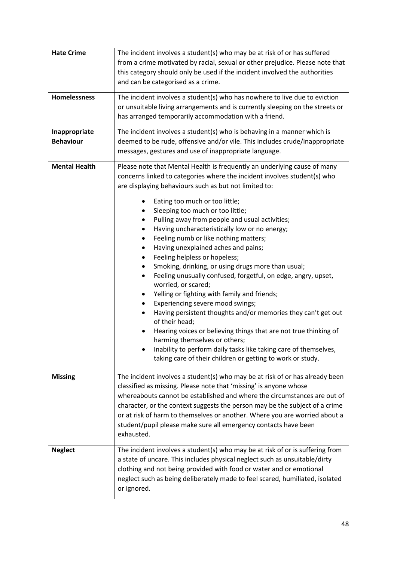| <b>Hate Crime</b>                 | The incident involves a student(s) who may be at risk of or has suffered<br>from a crime motivated by racial, sexual or other prejudice. Please note that<br>this category should only be used if the incident involved the authorities<br>and can be categorised as a crime.                                                                                                                                                                                                                                                                                                                                                                                                                                                                                                                                                                                                                                                                                                                                                                                                              |
|-----------------------------------|--------------------------------------------------------------------------------------------------------------------------------------------------------------------------------------------------------------------------------------------------------------------------------------------------------------------------------------------------------------------------------------------------------------------------------------------------------------------------------------------------------------------------------------------------------------------------------------------------------------------------------------------------------------------------------------------------------------------------------------------------------------------------------------------------------------------------------------------------------------------------------------------------------------------------------------------------------------------------------------------------------------------------------------------------------------------------------------------|
| <b>Homelessness</b>               | The incident involves a student(s) who has nowhere to live due to eviction<br>or unsuitable living arrangements and is currently sleeping on the streets or<br>has arranged temporarily accommodation with a friend.                                                                                                                                                                                                                                                                                                                                                                                                                                                                                                                                                                                                                                                                                                                                                                                                                                                                       |
| Inappropriate<br><b>Behaviour</b> | The incident involves a student(s) who is behaving in a manner which is<br>deemed to be rude, offensive and/or vile. This includes crude/inappropriate<br>messages, gestures and use of inappropriate language.                                                                                                                                                                                                                                                                                                                                                                                                                                                                                                                                                                                                                                                                                                                                                                                                                                                                            |
| <b>Mental Health</b>              | Please note that Mental Health is frequently an underlying cause of many<br>concerns linked to categories where the incident involves student(s) who<br>are displaying behaviours such as but not limited to:<br>Eating too much or too little;<br>Sleeping too much or too little;<br>Pulling away from people and usual activities;<br>Having uncharacteristically low or no energy;<br>٠<br>Feeling numb or like nothing matters;<br>٠<br>Having unexplained aches and pains;<br>Feeling helpless or hopeless;<br>Smoking, drinking, or using drugs more than usual;<br>Feeling unusually confused, forgetful, on edge, angry, upset,<br>$\bullet$<br>worried, or scared;<br>Yelling or fighting with family and friends;<br>Experiencing severe mood swings;<br>Having persistent thoughts and/or memories they can't get out<br>of their head;<br>Hearing voices or believing things that are not true thinking of<br>harming themselves or others;<br>Inability to perform daily tasks like taking care of themselves,<br>taking care of their children or getting to work or study. |
| <b>Missing</b>                    | The incident involves a student(s) who may be at risk of or has already been<br>classified as missing. Please note that 'missing' is anyone whose<br>whereabouts cannot be established and where the circumstances are out of<br>character, or the context suggests the person may be the subject of a crime<br>or at risk of harm to themselves or another. Where you are worried about a<br>student/pupil please make sure all emergency contacts have been<br>exhausted.                                                                                                                                                                                                                                                                                                                                                                                                                                                                                                                                                                                                                |
| <b>Neglect</b>                    | The incident involves a student(s) who may be at risk of or is suffering from<br>a state of uncare. This includes physical neglect such as unsuitable/dirty<br>clothing and not being provided with food or water and or emotional<br>neglect such as being deliberately made to feel scared, humiliated, isolated<br>or ignored.                                                                                                                                                                                                                                                                                                                                                                                                                                                                                                                                                                                                                                                                                                                                                          |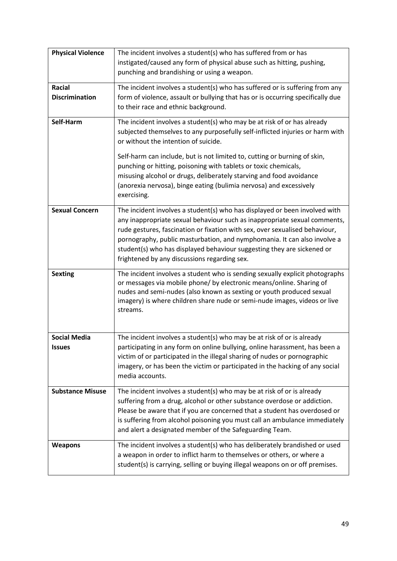| <b>Physical Violence</b> | The incident involves a student(s) who has suffered from or has                                                                                           |
|--------------------------|-----------------------------------------------------------------------------------------------------------------------------------------------------------|
|                          | instigated/caused any form of physical abuse such as hitting, pushing,                                                                                    |
|                          | punching and brandishing or using a weapon.                                                                                                               |
| Racial                   | The incident involves a student(s) who has suffered or is suffering from any                                                                              |
| <b>Discrimination</b>    | form of violence, assault or bullying that has or is occurring specifically due                                                                           |
|                          | to their race and ethnic background.                                                                                                                      |
| Self-Harm                | The incident involves a student(s) who may be at risk of or has already                                                                                   |
|                          | subjected themselves to any purposefully self-inflicted injuries or harm with                                                                             |
|                          | or without the intention of suicide.                                                                                                                      |
|                          | Self-harm can include, but is not limited to, cutting or burning of skin,                                                                                 |
|                          | punching or hitting, poisoning with tablets or toxic chemicals,                                                                                           |
|                          | misusing alcohol or drugs, deliberately starving and food avoidance                                                                                       |
|                          | (anorexia nervosa), binge eating (bulimia nervosa) and excessively                                                                                        |
|                          | exercising.                                                                                                                                               |
| <b>Sexual Concern</b>    | The incident involves a student(s) who has displayed or been involved with                                                                                |
|                          | any inappropriate sexual behaviour such as inappropriate sexual comments,                                                                                 |
|                          | rude gestures, fascination or fixation with sex, over sexualised behaviour,                                                                               |
|                          | pornography, public masturbation, and nymphomania. It can also involve a                                                                                  |
|                          | student(s) who has displayed behaviour suggesting they are sickened or                                                                                    |
|                          | frightened by any discussions regarding sex.                                                                                                              |
| <b>Sexting</b>           | The incident involves a student who is sending sexually explicit photographs                                                                              |
|                          | or messages via mobile phone/ by electronic means/online. Sharing of                                                                                      |
|                          | nudes and semi-nudes (also known as sexting or youth produced sexual<br>imagery) is where children share nude or semi-nude images, videos or live         |
|                          | streams.                                                                                                                                                  |
|                          |                                                                                                                                                           |
|                          |                                                                                                                                                           |
| <b>Social Media</b>      | The incident involves a student(s) who may be at risk of or is already                                                                                    |
| Issues                   | participating in any form on online bullying, online harassment, has been a                                                                               |
|                          | victim of or participated in the illegal sharing of nudes or pornographic<br>imagery, or has been the victim or participated in the hacking of any social |
|                          | media accounts.                                                                                                                                           |
|                          |                                                                                                                                                           |
| <b>Substance Misuse</b>  | The incident involves a student(s) who may be at risk of or is already                                                                                    |
|                          | suffering from a drug, alcohol or other substance overdose or addiction.                                                                                  |
|                          | Please be aware that if you are concerned that a student has overdosed or<br>is suffering from alcohol poisoning you must call an ambulance immediately   |
|                          | and alert a designated member of the Safeguarding Team.                                                                                                   |
|                          |                                                                                                                                                           |
| <b>Weapons</b>           | The incident involves a student(s) who has deliberately brandished or used                                                                                |
|                          | a weapon in order to inflict harm to themselves or others, or where a                                                                                     |
|                          | student(s) is carrying, selling or buying illegal weapons on or off premises.                                                                             |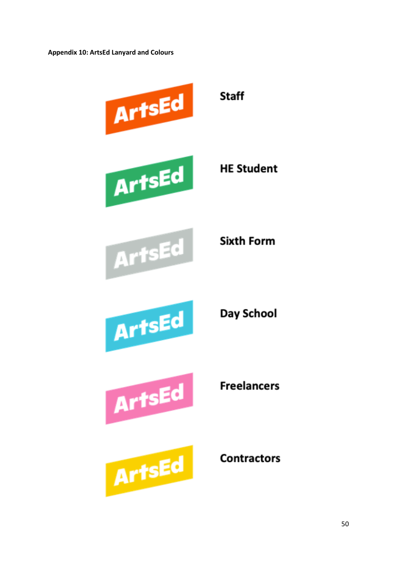**Appendix 10: ArtsEd Lanyard and Colours** 



ArtsEd

**Contractors**